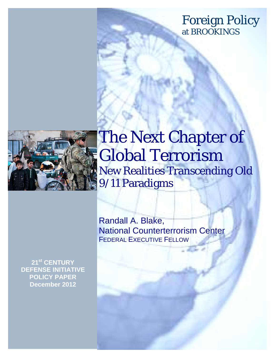Foreign Policy at BROOKINGS



### The Next Chapter of Global Terrorism New Realities Transcending Old 9/11 Paradigms

**21st CENTURY DEFENSE INITIATIVE POLICY PAPER December 2012**

Randall A. Blake, National Counterterrorism Center FEDERAL EXECUTIVE FELLOW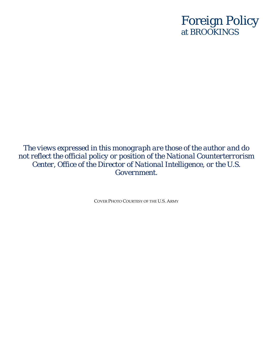#### Foreign Policy at BROOKINGS

*The views expressed in this monograph are those of the author and do not reflect the official policy or position of the National Counterterrorism Center, Office of the Director of National Intelligence, or the U.S. Government.*

COVER PHOTO COURTESY OF THE U.S. ARMY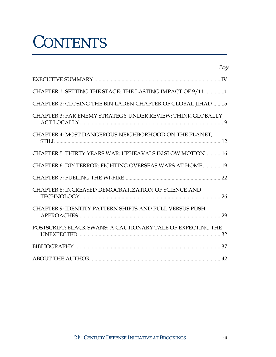# **CONTENTS**

| Page                                                        |
|-------------------------------------------------------------|
|                                                             |
| CHAPTER 1: SETTING THE STAGE: THE LASTING IMPACT OF 9/11 1  |
| CHAPTER 2: CLOSING THE BIN LADEN CHAPTER OF GLOBAL JIHAD5   |
| CHAPTER 3: FAR ENEMY STRATEGY UNDER REVIEW: THINK GLOBALLY, |
| CHAPTER 4: MOST DANGEROUS NEIGHBORHOOD ON THE PLANET,       |
| CHAPTER 5: THIRTY YEARS WAR: UPHEAVALS IN SLOW MOTION 16    |
| CHAPTER 6: DIY TERROR: FIGHTING OVERSEAS WARS AT HOME19     |
|                                                             |
| <b>CHAPTER 8: INCREASED DEMOCRATIZATION OF SCIENCE AND</b>  |
| CHAPTER 9: IDENTITY PATTERN SHIFTS AND PULL VERSUS PUSH     |
| POSTSCRIPT: BLACK SWANS: A CAUTIONARY TALE OF EXPECTING THE |
|                                                             |
|                                                             |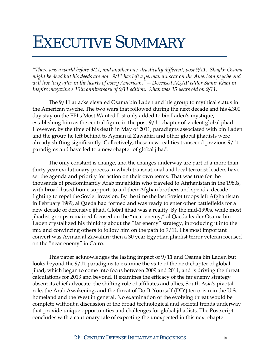# EXECUTIVE SUMMARY

*"There was a world before 9/11, and another one, drastically different, post 9/11. Shaykh Osama might be dead but his deeds are not. 9/11 has left a permanent scar on the American psyche and will live long after in the hearts of every American." -- Deceased AQAP editor Samir Khan in Inspire magazine's 10th anniversary of 9/11 edition. Khan was 15 years old on 9/11.*

The 9/11 attacks elevated Osama bin Laden and his group to mythical status in the American psyche. The two wars that followed during the next decade and his 4,300 day stay on the FBI's Most Wanted List only added to bin Laden's mystique, establishing him as the central figure in the post-9/11 chapter of violent global jihad. However, by the time of his death in May of 2011, paradigms associated with bin Laden and the group he left behind to Ayman al Zawahiri and other global jihadists were already shifting significantly. Collectively, these new realities transcend previous 9/11 paradigms and have led to a new chapter of global jihad.

The only constant is change, and the changes underway are part of a more than thirty year evolutionary process in which transnational and local terrorist leaders have set the agenda and priority for action on their own terms. That was true for the thousands of predominantly Arab mujahidin who traveled to Afghanistan in the 1980s, with broad-based home support, to aid their Afghan brothers and spend a decade fighting to repel the Soviet invasion. By the time the last Soviet troops left Afghanistan in February 1989, al Qaeda had formed and was ready to enter other battlefields for a new decade of defensive jihad. Global jihad was a reality. By the mid-1990s, while most jihadist groups remained focused on the "near enemy," al Qaeda leader Osama bin Laden crystallized his thinking about the "far enemy" strategy, introducing it into the mix and convincing others to follow him on the path to 9/11. His most important convert was Ayman al Zawahiri; then a 30 year Egyptian jihadist terror veteran focused on the "near enemy" in Cairo.

This paper acknowledges the lasting impact of 9/11 and Osama bin Laden but looks beyond the 9/11 paradigms to examine the state of the next chapter of global jihad, which began to come into focus between 2009 and 2011, and is driving the threat calculations for 2013 and beyond. It examines the efficacy of the far enemy strategy absent its chief advocate, the shifting role of affiliates and allies, South Asia's pivotal role, the Arab Awakening, and the threat of Do-It-Yourself (DIY) terrorism in the U.S. homeland and the West in general. No examination of the evolving threat would be complete without a discussion of the broad technological and societal trends underway that provide unique opportunities and challenges for global jihadists. The Postscript concludes with a cautionary tale of expecting the unexpected in this next chapter.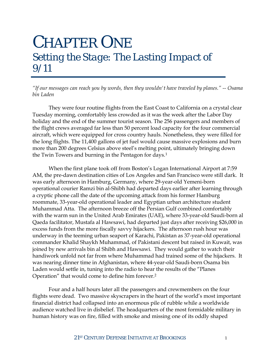### CHAPTER ONE *Setting the Stage: The Lasting Impact of 9/11*

*"If our messages can reach you by words, then they wouldn't have traveled by planes." -- Osama bin Laden*

They were four routine flights from the East Coast to California on a crystal clear Tuesday morning, comfortably less crowded as it was the week after the Labor Day holiday and the end of the summer tourist season. The 256 passengers and members of the flight crews averaged far less than 50 percent load capacity for the four commercial aircraft, which were equipped for cross country hauls. Nonetheless, they were filled for the long flights. The 11,400 gallons of jet fuel would cause massive explosions and burn more than 200 degrees Celsius above steel's melting point, ultimately bringing down the Twin Towers and burning in the Pentagon for days.<sup>[1](#page-7-0)</sup>

When the first plane took off from Boston's Logan International Airport at 7:59 AM, the pre-dawn destination cities of Los Angeles and San Francisco were still dark. It was early afternoon in Hamburg, Germany, where 29-year-old Yemeni-born operational courier Ramzi bin al-Shibh had departed days earlier after learning through a cryptic phone call the date of the upcoming attack from his former Hamburg roommate, 33-year-old operational leader and Egyptian urban architecture student Muhammad Atta. The afternoon breeze off the Persian Gulf combined comfortably with the warm sun in the United Arab Emirates (UAE), where 33-year-old Saudi-born al Qaeda facilitator, Mustafa al Hawsawi, had departed just days after receiving \$26,000 in excess funds from the more fiscally savvy hijackers. The afternoon rush hour was underway in the teeming urban seaport of Karachi, Pakistan as 37-year-old operational commander Khalid Shaykh Muhammad, of Pakistani descent but raised in Kuwait, was joined by new arrivals bin al Shibh and Hawsawi. They would gather to watch their handiwork unfold not far from where Muhammad had trained some of the hijackers. It was nearing dinner time in Afghanistan, where 44-year-old Saudi-born Osama bin Laden would settle in, tuning into the radio to hear the results of the "Planes Operation" that would come to define him forever.2

Four and a half hours later all the passengers and crewmembers on the four flights were dead. Two massive skyscrapers in the heart of the world's most important financial district had collapsed into an enormous pile of rubble while a worldwide audience watched live in disbelief. The headquarters of the most formidable military in human history was on fire, filled with smoke and missing one of its oddly shaped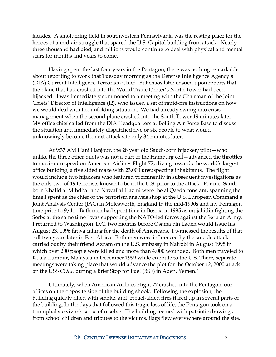facades. A smoldering field in southwestern Pennsylvania was the resting place for the heroes of a mid-air struggle that spared the U.S. Capitol building from attack. Nearly three thousand had died, and millions would continue to deal with physical and mental scars for months and years to come.

Having spent the last four years in the Pentagon, there was nothing remarkable about reporting to work that Tuesday morning as the Defense Intelligence Agency's (DIA) Current Intelligence Terrorism Chief. But chaos later ensued upon reports that the plane that had crashed into the World Trade Center's North Tower had been hijacked. I was immediately summoned to a meeting with the Chairman of the Joint Chiefs' Director of Intelligence (J2), who issued a set of rapid-fire instructions on how we would deal with the unfolding situation. We had already swung into crisis management when the second plane crashed into the South Tower 19 minutes later. My office chief called from the DIA Headquarters at Bolling Air Force Base to discuss the situation and immediately dispatched five or six people to what would unknowingly become the next attack site only 34 minutes later.

At 9:37 AM Hani Hanjour, the 28 year old Saudi-born hijacker/pilot—who unlike the three other pilots was not a part of the Hamburg cell—advanced the throttles to maximum speed on American Airlines Flight 77, diving towards the world's largest office building, a five sided maze with 23,000 unsuspecting inhabitants. The flight would include two hijackers who featured prominently in subsequent investigations as the only two of 19 terrorists known to be in the U.S. prior to the attack. For me, Saudiborn Khalid al Mihdhar and Nawaf al Hazmi were the al Qaeda constant, spanning the time I spent as the chief of the terrorism analysis shop at the U.S. European Command's Joint Analysis Center (JAC) in Molesworth, England in the mid-1990s and my Pentagon time prior to 9/11. Both men had spent time in Bosnia in 1995 as mujahidin fighting the Serbs at the same time I was supporting the NATO-led forces against the Serbian Army. I returned to Washington, D.C. two months before Osama bin Laden would issue his August 23, 1996 fatwa calling for the death of Americans. I witnessed the results of that call two years later in East Africa. Both men were influenced by the suicide attack carried out by their friend Azzam on the U.S. embassy in Nairobi in August 1998 in which over 200 people were killed and more than 4,000 wounded. Both men traveled to Kuala Lumpur, Malaysia in December 1999 while en route to the U.S. There, separate meetings were taking place that would advance the plot for the October 12, 2000 attack on the USS *COLE* during a Brief Stop for Fuel (BSF) in Aden, Yemen.3

Ultimately, when American Airlines Flight 77 crashed into the Pentagon, our offices on the opposite side of the building shook. Following the explosion, the building quickly filled with smoke, and jet fuel-aided fires flared up in several parts of the building. In the days that followed this tragic loss of life, the Pentagon took on a triumphal survivor's sense of resolve. The building teemed with patriotic drawings from school children and tributes to the victims, flags flew everywhere around the site,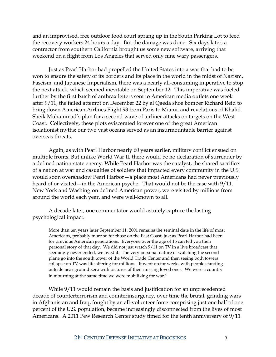and an improvised, free outdoor food court sprang up in the South Parking Lot to feed the recovery workers 24 hours a day. But the damage was done. Six days later, a contractor from southern California brought us some new software, arriving that weekend on a flight from Los Angeles that served only nine wary passengers.

Just as Pearl Harbor had propelled the United States into a war that had to be won to ensure the safety of its borders and its place in the world in the midst of Nazism, Fascism, and Japanese Imperialism, there was a nearly all-consuming imperative to stop the next attack, which seemed inevitable on September 12. This imperative was fueled further by the first batch of anthrax letters sent to American media outlets one week after 9/11, the failed attempt on December 22 by al Qaeda shoe bomber Richard Reid to bring down American Airlines Flight 93 from Paris to Miami, and revelations of Khalid Sheik Muhammad's plan for a second wave of airliner attacks on targets on the West Coast. Collectively, these plots eviscerated forever one of the great American isolationist myths: our two vast oceans served as an insurmountable barrier against overseas threats.

Again, as with Pearl Harbor nearly 60 years earlier, military conflict ensued on multiple fronts. But unlike World War II, there would be no declaration of surrender by a defined nation-state enemy. While Pearl Harbor was the catalyst, the shared sacrifice of a nation at war and casualties of soldiers that impacted every community in the U.S. would soon overshadow Pearl Harbor—a place most Americans had never previously heard of or visited—in the American psyche. That would not be the case with  $9/11$ . New York and Washington defined American power, were visited by millions from around the world each year, and were well-known to all.

A decade later, one commentator would astutely capture the lasting psychological impact.

More than ten years later September 11, 2001 remains the seminal date in the life of most Americans, probably more so for those on the East Coast, just as Pearl Harbor had been for previous American generations. Everyone over the age of 16 can tell you their personal story of that day. We did not just watch 9/11 on TV in a live broadcast that seemingly never ended, we lived it. The very personal nature of watching the second plane go into the south tower of the World Trade Center and then seeing both towers collapse on TV was life altering for millions. It went on for weeks with people standing outside near ground zero with pictures of their missing loved ones. We were a country in mourning at the same time we were mobilizing for war. $4$ 

While 9/11 would remain the basis and justification for an unprecedented decade of counterterrorism and counterinsurgency, over time the brutal, grinding wars in Afghanistan and Iraq, fought by an all-volunteer force comprising just one half of one percent of the U.S. population, became increasingly disconnected from the lives of most Americans. A 2011 Pew Research Center study timed for the tenth anniversary of 9/11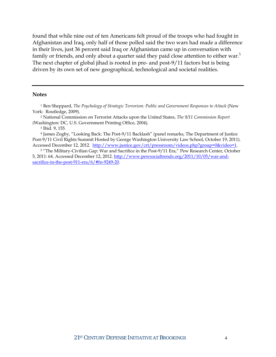found that while nine out of ten Americans felt proud of the troops who had fought in Afghanistan and Iraq, only half of those polled said the two wars had made a difference in their lives, just 36 percent said Iraq or Afghanistan came up in conversation with family or friends, and only about a quarter said they paid close attention to either war.<sup>5</sup> The next chapter of global jihad is rooted in pre- and post-9/11 factors but is being driven by its own set of new geographical, technological and societal realities.

#### **Notes**

<span id="page-7-0"></span><sup>1</sup> Ben Sheppard, *The Psychology of Strategic Terrorism: Public and Government Responses to Attack* (New York: Routledge, 2009).

<sup>2</sup> National Commission on Terrorist Attacks upon the United States, *The 9/11 Commission Report (*Washington: DC, U.S. Government Printing Office, 2004).

<sup>3</sup> Ibid. 9, 155.

<sup>4</sup> James Zogby, "Looking Back: The Post-9/11 Backlash" (panel remarks, The Department of Justice Post-9/11 Civil Rights Summit Hosted by George Washington University Law School, October 19, 2011). Accessed December 12, 2012. http://www.justice.gov/crt/pressroom/videos.php?group=0&video=1.<br><sup>5</sup> "The Military-Civilian Gap: War and Sacrifice in the Post-9/11 Era," Pew Research Center, October

5, 2011: 64. Accessed December 12, 2012[. http://www.pewsocialtrends.org/2011/10/05/war-and](http://www.pewsocialtrends.org/2011/10/05/war-and-sacrifice-in-the-post-911-era/6/#fn-9249-20)[sacrifice-in-the-post-911-era/6/#fn-9249-20.](http://www.pewsocialtrends.org/2011/10/05/war-and-sacrifice-in-the-post-911-era/6/#fn-9249-20)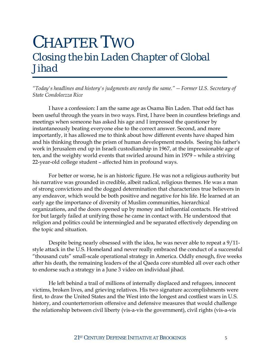### CHAPTER TWO *Closing the bin Laden Chapter of Global Jihad*

*"Today's headlines and history's judgments are rarely the same." -- Former U.S. Secretary of State Condoleezza Rice*

I have a confession: I am the same age as Osama Bin Laden. That odd fact has been useful through the years in two ways. First, I have been in countless briefings and meetings when someone has asked his age and I impressed the questioner by instantaneously beating everyone else to the correct answer. Second, and more importantly, it has allowed me to think about how different events have shaped him and his thinking through the prism of human development models. Seeing his father's work in Jerusalem end up in Israeli custodianship in 1967, at the impressionable age of ten, and the weighty world events that swirled around him in 1979 – while a striving 22-year-old college student – affected him in profound ways.

For better or worse, he is an historic figure. He was not a religious authority but his narrative was grounded in credible, albeit radical, religious themes. He was a man of strong convictions and the dogged determination that characterizes true believers in any endeavor, which would be both positive and negative for his life. He learned at an early age the importance of diversity of Muslim communities, hierarchical organizations, and the doors opened up by money and influential contacts. He strived for but largely failed at unifying those he came in contact with. He understood that religion and politics could be intermingled and be separated effectively depending on the topic and situation.

Despite being nearly obsessed with the idea, he was never able to repeat a 9/11 style attack in the U.S. Homeland and never really embraced the conduct of a successful "thousand cuts" small-scale operational strategy in America. Oddly enough, five weeks after his death, the remaining leaders of the al Qaeda core stumbled all over each other to endorse such a strategy in a June 3 video on individual jihad.

He left behind a trail of millions of internally displaced and refugees, innocent victims, broken lives, and grieving relatives. His two signature accomplishments were first, to draw the United States and the West into the longest and costliest wars in U.S. history, and counterterrorism offensive and defensive measures that would challenge the relationship between civil liberty (vis-a-vis the government), civil rights (vis-a-vis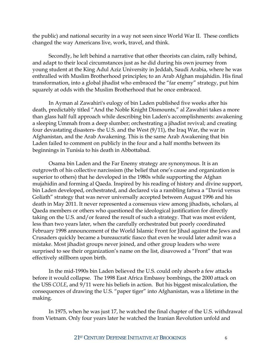the public) and national security in a way not seen since World War II. These conflicts changed the way Americans live, work, travel, and think.

Secondly, he left behind a narrative that other theorists can claim, rally behind, and adapt to their local circumstances just as he did during his own journey from young student at the King Adul Aziz University in Jeddah, Saudi Arabia, where he was enthralled with Muslim Brotherhood principles; to an Arab Afghan mujahidin. His final transformation, into a global jihadist who embraced the "far enemy" strategy, put him squarely at odds with the Muslim Brotherhood that he once embraced.

In Ayman al Zawahiri's eulogy of bin Laden published five weeks after his death, predictably titled "And the Noble Knight Dismounts," al Zawahiri takes a more than glass half full approach while describing bin Laden's accomplishments: awakening a sleeping Ummah from a deep slumber; orchestrating a jihadist revival; and creating four devastating disasters- the U.S. and the West (9/11), the Iraq War, the war in Afghanistan, and the Arab Awakening. This is the same Arab Awakening that bin Laden failed to comment on publicly in the four and a half months between its beginnings in Tunisia to his death in Abbottabad.

Osama bin Laden and the Far Enemy strategy are synonymous. It is an outgrowth of his collective narcissism (the belief that one's cause and organization is superior to others) that he developed in the 1980s while supporting the Afghan mujahidin and forming al Qaeda. Inspired by his reading of history and divine support, bin Laden developed, orchestrated, and declared via a rambling fatwa a "David versus Goliath" strategy that was never universally accepted between August 1996 and his death in May 2011. It never represented a consensus view among jihadists, scholars, al Qaeda members or others who questioned the ideological justification for directly taking on the U.S. and/or feared the result of such a strategy. That was most evident, less than two years later, when the carefully orchestrated but poorly coordinated February 1998 announcement of the World Islamic Front for Jihad against the Jews and Crusaders quickly became a bureaucratic fiasco that even he would later admit was a mistake. Most jihadist groups never joined, and other group leaders who were surprised to see their organization's name on the list, disavowed a "Front" that was effectively stillborn upon birth.

In the mid-1990s bin Laden believed the U.S. could only absorb a few attacks before it would collapse. The 1998 East Africa Embassy bombings, the 2000 attack on the USS *COLE*, and 9/11 were his beliefs in action. But his biggest miscalculation, the consequences of drawing the U.S. "paper tiger" into Afghanistan, was a lifetime in the making.

In 1975, when he was just 17, he watched the final chapter of the U.S. withdrawal from Vietnam. Only four years later he watched the Iranian Revolution unfold and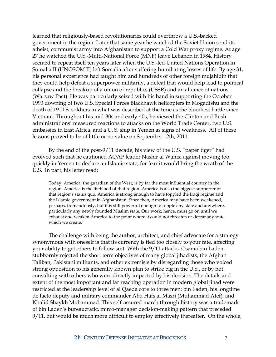learned that religiously-based revolutionaries could overthrow a U.S.-backed government in the region. Later that same year he watched the Soviet Union send its atheist, communist army into Afghanistan to support a Cold War proxy regime. At age 27 he watched the U.S.-Multi-National Force (MNF) leave Lebanon in 1984. History seemed to repeat itself ten years later when the U.S.-led United Nations Operation in Somalia II (UNOSOM II) left Somalia after suffering humiliating losses of life. By age 31, his personal experience had taught him and hundreds of other foreign mujahidin that they could help defeat a superpower militarily, a defeat that would help lead to political collapse and the breakup of a union of republics (USSR) and an alliance of nations (Warsaw Pact). He was particularly seized with his hand in supporting the October 1993 downing of two U.S. Special Forces Blackhawk helicopters in Mogadishu and the death of 19 U.S. soldiers in what was described at the time as the bloodiest battle since Vietnam. Throughout his mid-30s and early-40s, he viewed the Clinton and Bush administrations' measured reactions to attacks on the World Trade Center, two U.S. embassies in East Africa, and a U. S. ship in Yemen as signs of weakness. All of these lessons proved to be of little or no value on September 12th, 2011.

By the end of the post-9/11 decade, his view of the U.S. "paper tiger" had evolved such that he cautioned AQAP leader Nashir al Wahisi against moving too quickly in Yemen to declare an Islamic state, for fear it would bring the wrath of the U.S. In part, his letter read:

Today, America, the guardian of the West, is by far the most influential country in the region. America is the lifeblood of that region. America is also the biggest supporter of that region's status quo. America is strong enough to have toppled the Iraqi regime and the Islamic government in Afghanistan. Since then, America may have been weakened, perhaps, tremendously, but it is still powerful enough to topple any state and anywhere, particularly any newly founded Muslim state. Our work, hence, must go on until we exhaust and weaken America to the point where it could not threaten or defeat any state which we create. $1$ 

The challenge with being the author, architect, and chief advocate for a strategy synonymous with oneself is that its currency is tied too closely to your fate, affecting your ability to get others to follow suit. With the 9/11 attacks, Osama bin Laden stubbornly rejected the short term objectives of many global jihadists, the Afghan Taliban, Pakistani militants, and other extremists by disregarding those who voiced strong opposition to his generally known plan to strike big in the U.S., or by not consulting with others who were directly impacted by his decision. The details and extent of the most important and far reaching operation in modern global jihad were restricted at the leadership level of al Qaeda core to three men: bin Laden, his longtime de facto deputy and military commander Abu Hafs al Masri (Muhammad Atef), and Khalid Shaykh Muhammad. This self-assured march through history was a trademark of bin Laden's bureaucratic, mirco-manager decision-making pattern that preceded 9/11, but would be much more difficult to employ effectively thereafter. On the whole,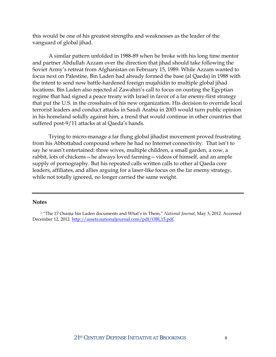this would be one of his greatest strengths and weaknesses as the leader of the vanguard of global jihad.

A similar pattern unfolded in 1988-89 when he broke with his long time mentor and partner Abdullah Azzam over the direction that jihad should take following the Soviet Army's retreat from Afghanistan on February 15, 1989. While Azzam wanted to focus next on Palestine, Bin Laden had already formed the base (al Qaeda) in 1988 with the intent to send now battle-hardened foreign mujahidin to multiple global jihad locations. Bin Laden also rejected al Zawahiri's call to focus on ousting the Egyptian regime that had signed a peace treaty with Israel in favor of a far enemy-first strategy that put the U.S. in the crosshairs of his new organization. His decision to override local terrorist leaders and conduct attacks in Saudi Arabia in 2003 would turn public opinion in his homeland solidly against him, a trend that would continue in other countries that suffered post-9/11 attacks at al Qaeda's hands.

Trying to micro-manage a far flung global jihadist movement proved frustrating from his Abbottabad compound where he had no Internet connectivity. That isn't to say he wasn't entertained: three wives, multiple children, a small garden, a cow, a rabbit, lots of chickens—he always loved farming—videos of himself, and an ample supply of pornography. But his repeated calls written calls to other al Qaeda core leaders, affiliates, and allies arguing for a laser-like focus on the far enemy strategy, while not totally ignored, no longer carried the same weight.

#### **Notes**

<sup>1</sup> "The 17 Osama bin Laden documents and What's in Them," *National Journal*, May 3, 2012. Accessed December 12, 2012. [http://assets.nationaljournal.com/pdf/OBL15.pdf.](http://assets.nationaljournal.com/pdf/OBL15.pdf)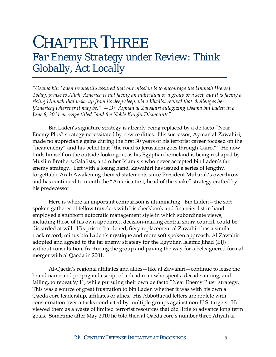# CHAPTER THREE

#### *Far Enemy Strategy under Review: Think Globally, Act Locally*

*"Osama bin Laden frequently assured that our mission is to encourage the Ummah [Verse]. Today, praise to Allah, America is not facing an individual or a group or a sect, but it is facing a rising Ummah that woke up from its deep sleep, via a Jihadist revival that challenges her [America] wherever it may be."1 -- Dr. Ayman al Zawahiri eulogizing Osama bin Laden in a June 8, 2011 message titled "and the Noble Knight Dismounts"*

Bin Laden's signature strategy is already being replaced by a de facto "Near Enemy Plus" strategy necessitated by new realities. His successor, Ayman al-Zawahiri, made no appreciable gains during the first 30 years of his terrorist career focused on the "near enemy" and his belief that "the road to Jerusalem goes through Cairo."<sup>2</sup> He now finds himself on the outside looking in, as his Egyptian homeland is being reshaped by Muslim Brothers, Salafists, and other Islamists who never accepted bin Laden's far enemy strategy. Left with a losing hand, Zawahiri has issued a series of lengthy, forgettable Arab Awakening themed statements since President Mubarak's overthrow, and has continued to mouth the "America first, head of the snake" strategy crafted by his predecessor.

Here is where an important comparison is illuminating. Bin Laden—the soft spoken gatherer of fellow travelers with his checkbook and financier list in hand employed a stubborn autocratic management style in which subordinate views, including those of his own appointed decision-making central shura council, could be discarded at will. His prison-hardened, fiery replacement al Zawahiri has a similar track record, minus bin Laden's mystique and more soft spoken approach. Al Zawahiri adopted and agreed to the far enemy strategy for the Egyptian Islamic Jihad (EIJ) without consultation; fracturing the group and paving the way for a beleaguered formal merger with al Qaeda in 2001.

Al-Qaeda's regional affiliates and allies—like al Zawahiri—continue to lease the brand name and propaganda script of a dead man who spent a decade aiming, and failing, to repeat 9/11, while pursuing their own de facto "Near Enemy Plus" strategy. This was a source of great frustration to bin Laden whether it was with his own al Qaeda core leadership, affiliates or allies. His Abbottabad letters are replete with consternation over attacks conducted by multiple groups against non-U.S. targets. He viewed them as a waste of limited terrorist resources that did little to advance long term goals. Sometime after May 2010 he told then al Qaeda core's number three Atiyah al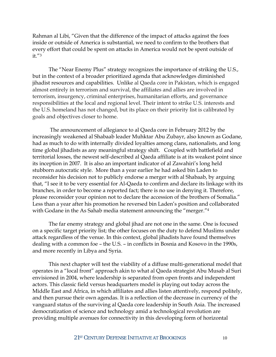Rahman al Libi, "Given that the difference of the impact of attacks against the foes inside or outside of America is substantial, we need to confirm to the brothers that every effort that could be spent on attacks in America would not be spent outside of it."3

The "Near Enemy Plus" strategy recognizes the importance of striking the U.S., but in the context of a broader prioritized agenda that acknowledges diminished jihadist resources and capabilities. Unlike al Qaeda core in Pakistan, which is engaged almost entirely in terrorism and survival, the affiliates and allies are involved in terrorism, insurgency, criminal enterprises, humanitarian efforts, and governance responsibilities at the local and regional level. Their intent to strike U.S. interests and the U.S. homeland has not changed, but its place on their priority list is calibrated by goals and objectives closer to home.

The announcement of allegiance to al Qaeda core in February 2012 by the increasingly weakened al Shabaab leader Muhktar Abu Zubayr, also known as Godane, had as much to do with internally divided loyalties among clans, nationalists, and long time global jihadists as any meaningful strategy shift. Coupled with battlefield and territorial losses, the newest self-described al Qaeda affiliate is at its weakest point since its inception in 2007. It is also an important indicator of al Zawahiri's long held stubborn autocratic style. More than a year earlier he had asked bin Laden to reconsider his decision not to publicly endorse a merger with al Shabaab, by arguing that, "I see it to be very essential for Al-Qaeda to confirm and declare its linkage with its branches, in order to become a reported fact; there is no use in denying it. Therefore, please reconsider your opinion not to declare the accession of the brothers of Somalia." Less than a year after his promotion he reversed bin Laden's position and collaborated with Godane in the As Sahab media statement announcing the "merger."<sup>4</sup>

The far enemy strategy and global jihad are not one in the same. One is focused on a specific target priority list; the other focuses on the duty to defend Muslims under attack regardless of the venue. In this context, global jihadists have found themselves dealing with a common foe – the U.S. – in conflicts in Bosnia and Kosovo in the 1990s, and more recently in Libya and Syria.

This next chapter will test the viability of a diffuse multi-generational model that operates in a "local front" approach akin to what al Qaeda strategist Abu Musab al Suri envisioned in 2004, where leadership is separated from open fronts and independent actors. This classic field versus headquarters model is playing out today across the Middle East and Africa, in which affiliates and allies listen attentively, respond politely, and then pursue their own agendas. It is a reflection of the decrease in currency of the vanguard status of the surviving al Qaeda core leadership in South Asia. The increased democratization of science and technology amid a technological revolution are providing multiple avenues for connectivity in this developing form of horizontal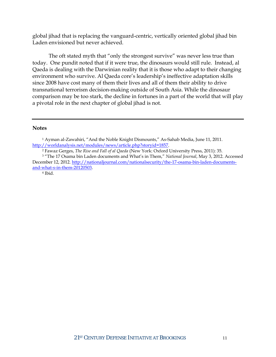global jihad that is replacing the vanguard-centric, vertically oriented global jihad bin Laden envisioned but never achieved.

The oft stated myth that "only the strongest survive" was never less true than today. One pundit noted that if it were true, the dinosaurs would still rule. Instead, al Qaeda is dealing with the Darwinian reality that it is those who adapt to their changing environment who survive. Al Qaeda core's leadership's ineffective adaptation skills since 2008 have cost many of them their lives and all of them their ability to drive transnational terrorism decision-making outside of South Asia. While the dinosaur comparison may be too stark, the decline in fortunes in a part of the world that will play a pivotal role in the next chapter of global jihad is not.

#### **Notes**

<sup>1</sup> Ayman al-Zawahiri, "And the Noble Knight Dismounts," As-Sahab Media, June 11, 2011. [http://worldanalysis.net/modules/news/article.php?storyid=1857.](http://worldanalysis.net/modules/news/article.php?storyid=1857) 2 Fawaz Gerges, *The Rise and Fall of al Qaeda* (New York: Oxford University Press, 2011): 35.

<sup>3</sup> "The 17 Osama bin Laden documents and What's in Them," *National Journal*, May 3, 2012. Accessed December 12, 2012. [http://nationaljournal.com/nationalsecurity/the-17-osama-bin-laden-documents](http://nationaljournal.com/nationalsecurity/the-17-osama-bin-laden-documents-and-what-s-in-them-20120503)[and-what-s-in-them-20120503.](http://nationaljournal.com/nationalsecurity/the-17-osama-bin-laden-documents-and-what-s-in-them-20120503) 4 Ibid.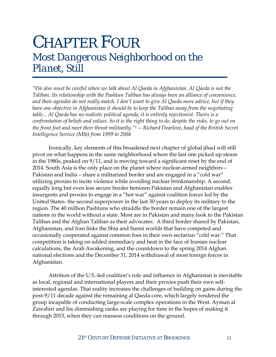### CHAPTER FOUR *Most Dangerous Neighborhood on the Planet, Still*

*"We also must be careful when we talk about Al Qaeda in Afghanistan. Al Qaeda is not the Taliban. Its relationship with the Pashtun Taliban has always been an alliance of convenience, and their agendas do not really match. I don't want to give Al Qaeda more advice, but if they have one objective in Afghanistan it should be to keep the Taliban away from the negotiating table... Al Qaeda has no realistic political agenda, it is entirely rejectionist. Theirs is a confrontation of beliefs and values. So it is the right thing to do, despite the risks, to go out on the front foot and meet their threat militantly."1 -- Richard Dearlove*, *head of the British Secret Intelligence Service (MI6) from 1999 to 2004*

Ironically, key elements of this broadened next chapter of global jihad will still pivot on what happens in the same neighborhood where the last one picked up steam in the 1980s, peaked on 9/11, and is moving toward a significant reset by the end of 2014. South Asia is the only place on the planet where nuclear-armed neighbors – Pakistan and India – share a militarized border and are engaged in a "cold war" utilizing proxies to incite violence while avoiding nuclear brinkmanship. A second, equally long but even less secure border between Pakistan and Afghanistan enables insurgents and proxies to engage in a "hot war" against coalition forces led by the United States- the second superpower in the last 30 years to deploy its military to the region. The 40 million Pashtuns who straddle the border remain one of the largest nations in the world without a state. Most are in Pakistan and many look to the Pakistan Taliban and the Afghan Taliban as their advocates. A third border shared by Pakistan, Afghanistan, and Iran links the Shia and Sunni worlds that have competed and occasionally cooperated against common foes in their own sectarian "cold war." That competition is taking on added immediacy and heat in the face of Iranian nuclear calculations, the Arab Awakening, and the countdown to the spring 2014 Afghan national elections and the December 31, 2014 withdrawal of most foreign forces in Afghanistan.

Attrition of the U.S.-led coalition's role and influence in Afghanistan is inevitable as local, regional and international players and their proxies push their own selfinterested agendas. That reality increases the challenges of building on gains during the post-9/11 decade against the remaining al Qaeda core, which largely rendered the group incapable of conducting large-scale complex operations in the West. Ayman al Zawahiri and his diminishing ranks are playing for time in the hopes of making it through 2015, when they can reassess conditions on the ground.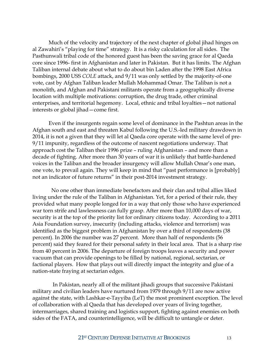Much of the velocity and trajectory of the next chapter of global jihad hinges on al Zawahiri's "playing for time" strategy. It is a risky calculation for all sides. The Pasthunwali tribal code of the honored guest has been the saving grace for al Qaeda core since 1996- first in Afghanistan and later in Pakistan. But it has limits. The Afghan Taliban internal debate about what to do about bin Laden after the 1998 East Africa bombings, 2000 USS *COLE* attack, and 9/11 was only settled by the majority-of-one vote, cast by Afghan Taliban leader Mullah Mohammad Omar. The Taliban is not a monolith, and Afghan and Pakistani militants operate from a geographically diverse location with multiple motivations: corruption, the drug trade, other criminal enterprises, and territorial hegemony. Local, ethnic and tribal loyalties—not national interests or global jihad—come first.

Even if the insurgents regain some level of dominance in the Pashtun areas in the Afghan south and east and threaten Kabul following the U.S.-led military drawdown in 2014, it is not a given that they will let al Qaeda core operate with the same level of pre-9/11 impunity, regardless of the outcome of nascent negotiations underway. That approach cost the Taliban their 1996 prize – ruling Afghanistan – and more than a decade of fighting. After more than 30 years of war it is unlikely that battle-hardened voices in the Taliban and the broader insurgency will allow Mullah Omar's one man, one vote, to prevail again. They will keep in mind that "past performance is [probably] not an indicator of future returns" in their post-2014 investment strategy.

 No one other than immediate benefactors and their clan and tribal allies liked living under the rule of the Taliban in Afghanistan. Yet, for a period of their rule, they provided what many people longed for in a way that only those who have experienced war torn strife and lawlessness can fully grasp. After more than 10,000 days of war, security is at the top of the priority list for ordinary citizens today. According to a 2011 Asia Foundation survey, insecurity (including attacks, violence and terrorism) was identified as the biggest problem in Afghanistan by over a third of respondents (38 percent). In 2006 the number was 27 percent. More than half of respondents (56 percent) said they feared for their personal safety in their local area. That is a sharp rise from 40 percent in 2006. The departure of foreign troops leaves a security and power vacuum that can provide openings to be filled by national, regional, sectarian, or factional players. How that plays out will directly impact the integrity and glue of a nation-state fraying at sectarian edges.

 In Pakistan, nearly all of the militant jihadi groups that successive Pakistani military and civilian leaders have nurtured from 1979 through 9/11 are now active against the state, with Lashkar-e-Tayyiba (LeT) the most prominent exception. The level of collaboration with al Qaeda that has developed over years of living together, intermarriages, shared training and logistics support, fighting against enemies on both sides of the FATA, and counterintelligence, will be difficult to untangle or deter.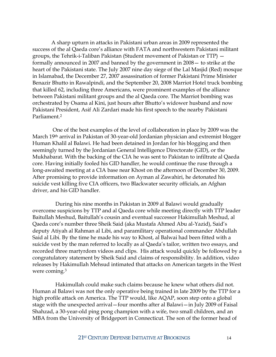A sharp upturn in attacks in Pakistani urban areas in 2009 represented the success of the al Qaeda core's alliance with FATA and northwestern Pakistani militant groups, the Tehrik-i-Taliban Pakistan (Student movement of Pakistan or TTP) formally announced in 2007 and banned by the government in 2008— to strike at the heart of the Pakistani state. The July 2007 nine day siege of the Lal Masjid (Red) mosque in Islamabad, the December 27, 2007 assassination of former Pakistani Prime Minister Benazir Bhutto in Rawalpindi, and the September 20, 2008 Marriot Hotel truck bombing that killed 62, including three Americans, were prominent examples of the alliance between Pakistani militant groups and the al Qaeda core. The Marriot bombing was orchestrated by Osama al Kini, just hours after Bhutto's widower husband and now Pakistani President, Asif Ali Zardari made his first speech to the nearby Pakistani Parliament.2

 One of the best examples of the level of collaboration in place by 2009 was the March 19th arrival in Pakistan of 30-year-old Jordanian physician and extremist blogger Human Khalil al Balawi. He had been detained in Jordan for his blogging and then seemingly turned by the Jordanian General Intelligence Directorate (GID), or the Mukhabarat. With the backing of the CIA he was sent to Pakistan to infiltrate al Qaeda core. Having initially fooled his GID handler, he would continue the ruse through a long-awaited meeting at a CIA base near Khost on the afternoon of December 30, 2009. After promising to provide information on Ayman al Zawahiri, he detonated his suicide vest killing five CIA officers, two Blackwater security officials, an Afghan driver, and his GID handler.

 During his nine months in Pakistan in 2009 al Balawi would gradually overcome suspicions by TTP and al Qaeda core while meeting directly with TTP leader Baitullah Meshud, Baitullah's cousin and eventual successor Hakimullah Meshud, al Qaeda core's number three Sheik Said (aka Mustafa Ahmed Abu al-Yazid), Said's deputy Atiyah al Rahman al Libi, and paramilitary operational commander Abdullah Said al Libi. By the time he made his way to Khost, al Balwai had been fitted with a suicide vest by the man referred to locally as al Qaeda's tailor, written two essays, and recorded three martyrdom videos and clips. His attack would quickly be followed by a congratulatory statement by Sheik Said and claims of responsibility. In addition, video releases by Hakimullah Mehsud intimated that attacks on American targets in the West were coming.3

 Hakimullah could make such claims because he knew what others did not. Human al Balawi was not the only operative being trained in late 2009 by the TTP for a high profile attack on America. The TTP would, like AQAP, soon step onto a global stage with the unexpected arrival—four months after al Balawi—in July 2009 of Faisal Shahzad, a 30-year-old ping pong champion with a wife, two small children, and an MBA from the University of Bridgeport in Connecticut. The son of the former head of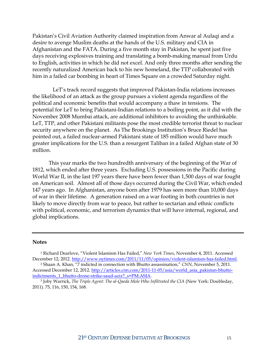Pakistan's Civil Aviation Authority claimed inspiration from Anwar al Aulaqi and a desire to avenge Muslim deaths at the hands of the U.S. military and CIA in Afghanistan and the FATA. During a five month stay in Pakistan, he spent just five days receiving explosives training and translating a bomb-making manual from Urdu to English, activities in which he did not excel. And only three months after sending the recently naturalized American back to his new homeland, the TTP collaborated with him in a failed car bombing in heart of Times Square on a crowded Saturday night.

 LeT's track record suggests that improved Pakistan-India relations increases the likelihood of an attack as the group pursues a violent agenda regardless of the political and economic benefits that would accompany a thaw in tensions. The potential for LeT to bring Pakistani-Indian relations to a boiling point, as it did with the November 2008 Mumbai attack, are additional inhibitors to avoiding the unthinkable. LeT, TTP, and other Pakistani militants pose the most credible terrorist threat to nuclear security anywhere on the planet. As The Brookings Institution's Bruce Riedel has pointed out, a failed nuclear-armed Pakistani state of 185 million would have much greater implications for the U.S. than a resurgent Taliban in a failed Afghan state of 30 million.

This year marks the two hundredth anniversary of the beginning of the War of 1812, which ended after three years. Excluding U.S. possessions in the Pacific during World War II, in the last 197 years there have been fewer than 1,500 days of war fought on American soil. Almost all of those days occurred during the Civil War, which ended 147 years ago. In Afghanistan, anyone born after 1979 has seen more than 10,000 days of war in their lifetime. A generation raised on a war footing in both countries is not likely to move directly from war to peace, but rather to sectarian and ethnic conflicts with political, economic, and terrorism dynamics that will have internal, regional, and global implications.

#### **Notes**

<sup>1</sup> Richard Dearlove, "Violent Islamism Has Failed," *New York Times*, November 4, 2011. Accessed December 12, 2012. [http://www.nytimes.com/2011/11/05/opinion/violent-islamism-has-failed.html.](http://www.nytimes.com/2011/11/05/opinion/violent-islamism-has-failed.html) 2 Shaan A. Khan, "7 indicted in connection with Bhutto assassination," *CNN*, November 5, 2011.

Accessed December 12, 2012[. http://articles.cnn.com/2011-11-05/asia/world\\_asia\\_pakistan-bhutto](http://articles.cnn.com/2011-11-05/asia/world_asia_pakistan-bhutto-indictments_1_bhutto-drone-strike-saud-aziz?_s=PM:ASIA)[indictments\\_1\\_bhutto-drone-strike-saud-aziz?\\_s=PM:ASIA.](http://articles.cnn.com/2011-11-05/asia/world_asia_pakistan-bhutto-indictments_1_bhutto-drone-strike-saud-aziz?_s=PM:ASIA)

<sup>3</sup> Joby Warrick, *The Triple Agent: The al-Qaeda Mole Who Infiltrated the CIA* (New York: Doubleday, 2011). 75, 116, 150, 154, 168.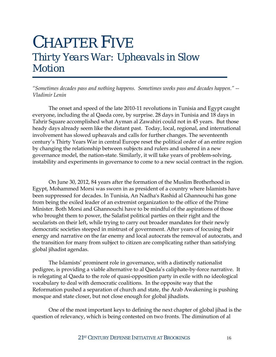### CHAPTER FIVE *Thirty Years War: Upheavals in Slow Motion*

*"Sometimes decades pass and nothing happens. Sometimes weeks pass and decades happen." -- Vladimir Lenin*

The onset and speed of the late 2010-11 revolutions in Tunisia and Egypt caught everyone, including the al Qaeda core, by surprise. 28 days in Tunisia and 18 days in Tahrir Square accomplished what Ayman al Zawahiri could not in 45 years. But those heady days already seem like the distant past. Today, local, regional, and international involvement has slowed upheavals and calls for further changes. The seventeenth century's Thirty Years War in central Europe reset the political order of an entire region by changing the relationship between subjects and rulers and ushered in a new governance model, the nation-state. Similarly, it will take years of problem-solving, instability and experiments in governance to come to a new social contract in the region.

On June 30, 2012, 84 years after the formation of the Muslim Brotherhood in Egypt, Mohammed Morsi was sworn in as president of a country where Islamists have been suppressed for decades. In Tunisia, An Nadha's Rashid al Ghannouchi has gone from being the exiled leader of an extremist organization to the office of the Prime Minister. Both Morsi and Ghannouchi have to be mindful of the aspirations of those who brought them to power, the Salafist political parties on their right and the secularists on their left, while trying to carry out broader mandates for their newly democratic societies steeped in mistrust of government. After years of focusing their energy and narrative on the far enemy and local autocrats the removal of autocrats, and the transition for many from subject to citizen are complicating rather than satisfying global jihadist agendas.

The Islamists' prominent role in governance, with a distinctly nationalist pedigree, is providing a viable alternative to al Qaeda's caliphate-by-force narrative. It is relegating al Qaeda to the role of quasi-opposition party in exile with no ideological vocabulary to deal with democratic coalitions. In the opposite way that the Reformation pushed a separation of church and state, the Arab Awakening is pushing mosque and state closer, but not close enough for global jihadists.

One of the most important keys to defining the next chapter of global jihad is the question of relevancy, which is being contested on two fronts. The diminution of al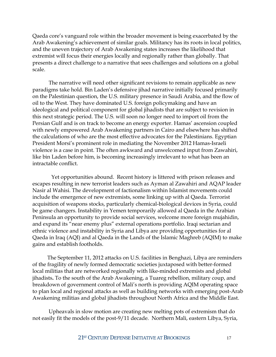Qaeda core's vanguard role within the broader movement is being exacerbated by the Arab Awakening's achievement of similar goals. Militancy has its roots in local politics, and the uneven trajectory of Arab Awakening states increases the likelihood that extremist will focus their energies locally and regionally rather than globally. That presents a direct challenge to a narrative that sees challenges and solutions on a global scale.

The narrative will need other significant revisions to remain applicable as new paradigms take hold. Bin Laden's defensive jihad narrative initially focused primarily on the Palestinian question, the U.S. military presence in Saudi Arabia, and the flow of oil to the West. They have dominated U.S. foreign policymaking and have an ideological and political component for global jihadists that are subject to revision in this next strategic period. The U.S. will soon no longer need to import oil from the Persian Gulf and is on track to become an energy exporter. Hamas' ascension coupled with newly empowered Arab Awakening partners in Cairo and elsewhere has shifted the calculations of who are the most effective advocates for the Palestinians. Egyptian President Morsi's prominent role in mediating the November 2012 Hamas-Israeli violence is a case in point. The often awkward and unwelcomed input from Zawahiri, like bin Laden before him, is becoming increasingly irrelevant to what has been an intractable conflict.

 Yet opportunities abound. Recent history is littered with prison releases and escapes resulting in new terrorist leaders such as Ayman al Zawahiri and AQAP leader Nasir al Wahisi. The development of factionalism within Islamist movements could include the emergence of new extremists, some linking up with al Qaeda. Terrorist acquisition of weapons stocks, particularly chemical-biological devices in Syria, could be game changers. Instability in Yemen temporarily allowed al Qaeda in the Arabian Peninsula an opportunity to provide social services, welcome more foreign mujahidin, and expand its "near enemy plus" external operations portfolio. Iraqi sectarian and ethnic violence and instability in Syria and Libya are providing opportunities for al Qaeda in Iraq (AQI) and al Qaeda in the Lands of the Islamic Maghreb (AQIM) to make gains and establish footholds.

 The September 11, 2012 attacks on U.S. facilities in Benghazi, Libya are reminders of the fragility of newly formed democratic societies juxtaposed with better-formed local militias that are networked regionally with like-minded extremists and global jihadists**.** To the south of the Arab Awakening, a Tuareg rebellion, military coup, and breakdown of government control of Mali's north is providing AQIM operating space to plan local and regional attacks as well as building networks with emerging post-Arab Awakening militias and global jihadists throughout North Africa and the Middle East.

 Upheavals in slow motion are creating new melting pots of extremism that do not easily fit the models of the post-9/11 decade. Northern Mali, eastern Libya, Syria,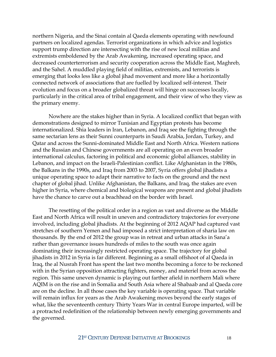northern Nigeria, and the Sinai contain al Qaeda elements operating with newfound partners on localized agendas. Terrorist organizations in which advice and logistics support trump direction are intersecting with the rise of new local militias and extremists emboldened by the Arab Awakening, increased operating space, and decreased counterterrorism and security cooperation across the Middle East, Maghreb, and the Sahel. A muddled playing field of militias, extremists, and terrorists is emerging that looks less like a global jihad movement and more like a horizontally connected network of associations that are fuelled by localized self-interest. Their evolution and focus on a broader globalized threat will hinge on successes locally, particularly in the critical area of tribal engagement, and their view of who they view as the primary enemy.

Nowhere are the stakes higher than in Syria. A localized conflict that began with demonstrations designed to mirror Tunisian and Egyptian protests has become internationalized. Shia leaders in Iran, Lebanon, and Iraq see the fighting through the same sectarian lens as their Sunni counterparts in Saudi Arabia, Jordan, Turkey, and Qatar and across the Sunni-dominated Middle East and North Africa. Western nations and the Russian and Chinese governments are all operating on an even broader international calculus, factoring in political and economic global alliances, stability in Lebanon, and impact on the Israeli-Palestinian conflict. Like Afghanistan in the 1980s, the Balkans in the 1990s, and Iraq from 2003 to 2007, Syria offers global jihadists a unique operating space to adapt their narrative to facts on the ground and the next chapter of global jihad. Unlike Afghanistan, the Balkans, and Iraq, the stakes are even higher in Syria, where chemical and biological weapons are present and global jihadists have the chance to carve out a beachhead on the border with Israel.

The resetting of the political order in a region as vast and diverse as the Middle East and North Africa will result in uneven and contradictory trajectories for everyone involved, including global jihadists. At the beginning of 2012 AQAP had captured vast stretches of southern Yemen and had imposed a strict interpretation of sharia law on thousands. By the end of 2012 the group was in retreat and urban attacks in Sana'a rather than governance issues hundreds of miles to the south was once again dominating their increasingly restricted operating space. The trajectory for global jihadists in 2012 in Syria is far different. Beginning as a small offshoot of al Qaeda in Iraq, the al Nusrah Front has spent the last two months becoming a force to be reckoned with in the Syrian opposition attracting fighters, money, and materiel from across the region. This same uneven dynamic is playing out farther afield in northern Mali where AQIM is on the rise and in Somalia and South Asia where al Shabaab and al Qaeda core are on the decline. In all those cases the key variable is operating space. That variable will remain influx for years as the Arab Awakening moves beyond the early stages of what, like the seventeenth century Thirty Years War in central Europe imparted, will be a protracted redefinition of the relationship between newly emerging governments and the governed.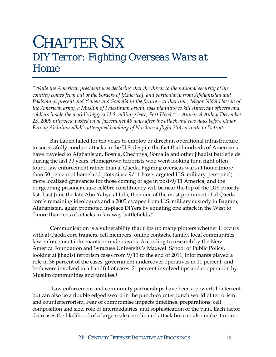### CHAPTER SIX *DIY Terror: Fighting Overseas Wars at Home*

*"While the American president was declaring that the threat to the national security of his country comes from out of the borders of [America], and particularly from Afghanistan and Pakistan at present and Yemen and Somalia in the future—at that time, Major Nidal Hassan of the American army, a Muslim of Palestinian origin, was planning to kill American officers and soldiers inside the world's biggest U.S. military base, Fort Hood." -- Anwar al Aulaqi December 23, 2009 interview posted on al Jazeera.net 48 days after the attack and two days before Umar Farouq Abdulmutallab's attempted bombing of Northwest flight 258 en route to Detroit*

 Bin Laden failed for ten years to employ or direct an operational infrastructure to successfully conduct attacks in the U.S. despite the fact that hundreds of Americans have traveled to Afghanistan, Bosnia, Chechnya, Somalia and other jihadist battlefields during the last 30 years. Homegrown terrorists who went looking for a fight often found law enforcement rather than al Qaeda. Fighting overseas wars at home (more than 50 percent of homeland plots since 9/11 have targeted U.S. military personnel) more localized grievances for those coming of age in post-9/11 America, and the burgeoning prisoner cause célèbre constituency will be near the top of the DIY priority list. Last June the late Abu Yahya al Libi, then one of the most prominent of al Qaeda core's remaining ideologues and a 2005 escapee from U.S. military custody in Bagram, Afghanistan, again promoted in-place DIYers by equating one attack in the West to "more than tens of attacks in faraway battlefields."

 Communication is a vulnerability that trips up many plotters whether it occurs with al Qaeda core trainers, cell members, online contacts, family, local communities, law enforcement informants or undercovers. According to research by the New America Foundation and Syracuse University's Maxwell School of Public Policy, looking at jihadist terrorism cases from 9/11 to the end of 2011, informants played a role in 36 percent of the cases, government undercover operatives in 11 percent, and both were involved in a handful of cases. 21 percent involved tips and cooperation by Muslim communities and families.1

 Law enforcement and community partnerships have been a powerful deterrent but can also be a double edged sword in the punch-counterpunch world of terrorism and counterterrorism. Fear of compromise impacts timelines, preparations, cell composition and size, role of intermediaries, and sophistication of the plan. Each factor decreases the likelihood of a large-scale coordinated attack but can also make it more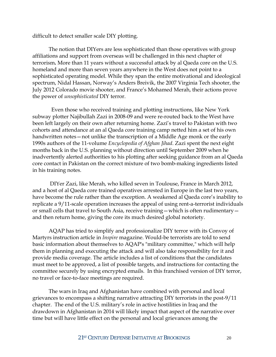difficult to detect smaller scale DIY plotting.

The notion that DIYers are less sophisticated than those operatives with group affiliations and support from overseas will be challenged in this next chapter of terrorism**.** More than 11 years without a successful attack by al Qaeda core on the U.S. homeland and more than seven years anywhere in the West does not point to a sophisticated operating model. While they span the entire motivational and ideological spectrum, Nidal Hassan, Norway's Anders Breivik, the 2007 Virginia Tech shooter, the July 2012 Colorado movie shooter, and France's Mohamed Merah, their actions prove the power of *unsophisticated* DIY terror.

 Even those who received training and plotting instructions, like New York subway plotter Najibullah Zazi in 2008-09 and were re-routed back to the West have been left largely on their own after returning home. Zazi's travel to Pakistan with two cohorts and attendance at an al Qaeda core training camp netted him a set of his own handwritten notes—not unlike the transcription of a Middle Age monk or the early 1990s authors of the 11-volume *Encyclopedia of Afghan Jihad*. Zazi spent the next eight months back in the U.S. planning without direction until September 2009 when he inadvertently alerted authorities to his plotting after seeking guidance from an al Qaeda core contact in Pakistan on the correct mixture of two bomb-making ingredients listed in his training notes.

DIYer Zazi, like Merah, who killed seven in Toulouse, France in March 2012, and a host of al Qaeda core trained operatives arrested in Europe in the last two years, have become the rule rather than the exception. A weakened al Qaeda core's inability to replicate a 9/11-scale operation increases the appeal of using rent-a-terrorist individuals or small cells that travel to South Asia, receive training—which is often rudimentary and then return home, giving the core its much desired global notoriety.

AQAP has tried to simplify and professionalize DIY terror with its Convoy of Martyrs instruction article in *Inspire* magazine. Would-be terrorists are told to send basic information about themselves to AQAP's "military committee," which will help them in planning and executing the attack and will also take responsibility for it and provide media coverage. The article includes a list of conditions that the candidates must meet to be approved, a list of possible targets, and instructions for contacting the committee securely by using encrypted emails. In this franchised version of DIY terror, no travel or face-to-face meetings are required.

The wars in Iraq and Afghanistan have combined with personal and local grievances to encompass a shifting narrative attracting DIY terrorists in the post-9/11 chapter. The end of the U.S. military's role in active hostilities in Iraq and the drawdown in Afghanistan in 2014 will likely impact that aspect of the narrative over time but will have little effect on the personal and local grievances among the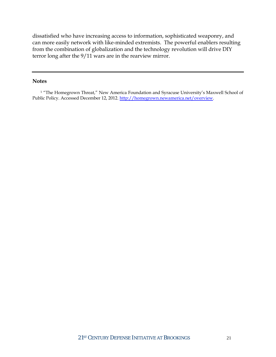dissatisfied who have increasing access to information, sophisticated weaponry, and can more easily network with like-minded extremists. The powerful enablers resulting from the combination of globalization and the technology revolution will drive DIY terror long after the 9/11 wars are in the rearview mirror.

#### **Notes**

<sup>1</sup> "The Homegrown Threat," New America Foundation and Syracuse University's Maxwell School of Public Policy. Accessed December 12, 2012. [http://homegrown.newamerica.net/overview.](http://homegrown.newamerica.net/overview)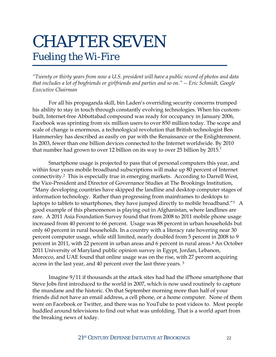### CHAPTER SEVEN *Fueling the Wi-Fire*

*"Twenty or thirty years from now a U.S. president will have a public record of photos and data that includes a lot of boyfriends or girlfriends and parties and so on." -- Eric Schmidt, Google Executive Chairman*

For all his propaganda skill, bin Laden's overriding security concerns trumped his ability to stay in touch through constantly evolving technologies. When his custombuilt, Internet-free Abbottabad compound was ready for occupancy in January 2006, Facebook was sprinting from six million users to over 850 million today. The scope and scale of change is enormous, a technological revolution that British technologist Ben Hammersley has described as easily on par with the Renaissance or the Enlightenment. In 2003, fewer than one billion devices connected to the Internet worldwide. By 2010 that number had grown to over 12 billion on its way to over 25 billion by  $2015<sup>1</sup>$ 

Smartphone usage is projected to pass that of personal computers this year, and within four years mobile broadband subscriptions will make up 80 percent of Internet connectivity.2 This is especially true in emerging markets. According to Darrell West, the Vice-President and Director of Governance Studies at The Brookings Institution, "Many developing countries have skipped the landline and desktop computer stages of information technology. Rather than progressing from mainframes to desktops to laptops to tablets to smartphones, they have jumped directly to mobile broadband."<sup>3</sup> A good example of this phenomenon is playing out in Afghanistan, where landlines are rare. A 2011 Asia Foundation Survey found that from 2008 to 2011 mobile phone usage increased from 40 percent to 66 percent. Usage was 88 percent in urban households but only 60 percent in rural households. In a country with a literacy rate hovering near 30 percent computer usage, while still limited, nearly doubled from 5 percent in 2008 to 9 percent in 2011, with 22 percent in urban areas and 6 percent in rural areas.4 An October 2011 University of Maryland public opinion survey in Egypt, Jordan, Lebanon, Morocco, and UAE found that online usage was on the rise, with 27 percent acquiring access in the last year, and 40 percent over the last three years. 5

Imagine 9/11 if thousands at the attack sites had had the iPhone smartphone that Steve Jobs first introduced to the world in 2007, which is now used routinely to capture the mundane and the historic. On that September morning more than half of your friends did not have an email address, a cell phone, or a home computer. None of them were on Facebook or Twitter, and there was no YouTube to post videos to. Most people huddled around televisions to find out what was unfolding. That is a world apart from the breaking news of today.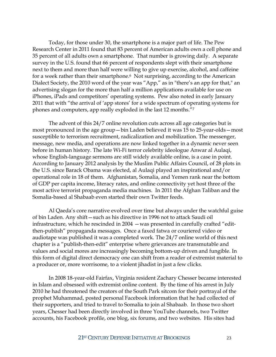Today, for those under 30, the smartphone is a major part of life. The Pew Research Center in 2011 found that 83 percent of American adults own a cell phone and 35 percent of all adults own a smartphone. That number is growing daily. A separate survey in the U.S. found that 66 percent of respondents slept with their smartphone next to them and more than half were willing to give up exercise, alcohol, and caffeine for a week rather than their smartphone.<sup>6</sup> Not surprising, according to the American Dialect Society, the 2010 word of the year was "App," as in "there's an app for that," an advertising slogan for the more than half a million applications available for use on iPhones, iPads and competitors' operating systems. Pew also noted in early January 2011 that with "the arrival of 'app stores' for a wide spectrum of operating systems for phones and computers, app really exploded in the last 12 months."7

The advent of this 24/7 online revolution cuts across all age categories but is most pronounced in the age group—bin Laden believed it was 15 to 25-year-olds—most susceptible to terrorism recruitment, radicalization and mobilization. The messenger, message, new media, and operations are now linked together in a dynamic never seen before in human history. The late Wi-Fi terror celebrity ideologue Anwar al Aulaqi, whose English-language sermons are still widely available online, is a case in point. According to January 2012 analysis by the Muslim Public Affairs Council, of 28 plots in the U.S. since Barack Obama was elected, al Aulaqi played an inspirational and/or operational role in 18 of them. Afghanistan, Somalia, and Yemen rank near the bottom of GDP per capita income, literacy rates, and online connectivity yet host three of the most active terrorist propaganda media machines. In 2011 the Afghan Taliban and the Somalia-based al Shabaab even started their own Twitter feeds.

Al Qaeda's core narrative evolved over time but always under the watchful guise of bin Laden. Any shift—such as his directive in 1996 not to attack Saudi oil infrastructure, which he rescinded in 2004 —was presented in carefully crafted "editthen-publish" propaganda messages. Once a faxed fatwa or couriered video or audiotape was published it was a completed work. The 24/7 online world of this next chapter is a "publish-then-edit" enterprise where grievances are transmutable and values and social mores are increasingly becoming bottom-up driven and fungible. In this form of digital direct democracy one can shift from a reader of extremist material to a producer or, more worrisome, to a violent jihadist in just a few clicks.

In 2008 18-year-old Fairfax, Virginia resident Zachary Chesser became interested in Islam and obsessed with extremist online content. By the time of his arrest in July 2010 he had threatened the creators of the South Park sitcom for their portrayal of the prophet Muhammad, posted personal Facebook information that he had collected of their supporters, and tried to travel to Somalia to join al Shabaab. In those two short years, Chesser had been directly involved in three YouTube channels, two Twitter accounts, his Facebook profile, one blog, six forums, and two websites. His sites had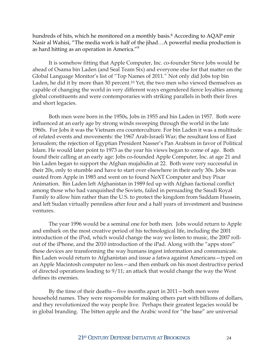hundreds of hits, which he monitored on a monthly basis.<sup>8</sup> According to AQAP emir Nasir al Wahisi, "The media work is half of the jihad…A powerful media production is as hard hitting as an operation in America."<sup>9</sup>

It is somehow fitting that Apple Computer, Inc. co-founder Steve Jobs would be ahead of Osama bin Laden (and Seal Team Six) and everyone else for that matter on the Global Language Monitor's list of "Top Names of 2011." Not only did Jobs top bin Laden, he did it by more than 30 percent.<sup>10</sup> Yet, the two men who viewed themselves as capable of changing the world in very different ways engendered fierce loyalties among global constituents and were contemporaries with striking parallels in both their lives and short legacies.

Both men were born in the 1950s, Jobs in 1955 and bin Laden in 1957. Both were influenced at an early age by strong winds sweeping through the world in the late 1960s. For Jobs it was the Vietnam era counterculture. For bin Laden it was a multitude of related events and movements: the 1967 Arab-Israeli War; the resultant loss of East Jerusalem; the rejection of Egyptian President Nasser's Pan Arabism in favor of Political Islam. He would later point to 1973 as the year his views began to come of age. Both found their calling at an early age: Jobs co-founded Apple Computer, Inc. at age 21 and bin Laden began to support the Afghan mujahidin at 22. Both were very successful in their 20s, only to stumble and have to start over elsewhere in their early 30s. Jobs was ousted from Apple in 1985 and went on to found NeXT Computer and buy Pixar Animation. Bin Laden left Afghanistan in 1989 fed up with Afghan factional conflict among those who had vanquished the Soviets, failed in persuading the Saudi Royal Family to allow him rather than the U.S. to protect the kingdom from Saddam Hussein, and left Sudan virtually penniless after four and a half years of investment and business ventures.

The year 1996 would be a seminal one for both men. Jobs would return to Apple and embark on the most creative period of his technological life, including the 2001 introduction of the iPod, which would change the way we listen to music, the 2007 rollout of the iPhone, and the 2010 introduction of the iPad. Along with the "apps store" these devices are transforming the way humans ingest information and communicate. Bin Laden would return to Afghanistan and issue a fatwa against Americans—typed on an Apple Macintosh computer no less—and then embark on his most destructive period of directed operations leading to 9/11; an attack that would change the way the West defines its enemies.

 By the time of their deaths—five months apart in 2011—both men were household names. They were responsible for making others part with billions of dollars, and they revolutionized the way people live. Perhaps their greatest legacies would be in global branding. The bitten apple and the Arabic word for "the base" are universal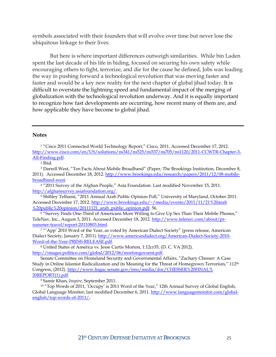symbols associated with their founders that will evolve over time but never lose the ubiquitous linkage to their lives.

But here is where important differences outweigh similarities. While bin Laden spent the last decade of his life in hiding, focused on securing his own safety while encouraging others to fight, terrorize, and die for the cause he defined, Jobs was leading the way in pushing forward a technological revolution that was moving faster and faster and would be a key new reality for the next chapter of global jihad today. It is difficult to overstate the lightning speed and fundamental impact of the merging of globalization with the technological revolution underway. And it is equally important to recognize how fast developments are occurring, how recent many of them are, and how applicable they have become to global jihad.

#### **Notes**

<sup>1</sup> "Cisco 2011 Connected World Technology Report," Cisco, 2011. Accessed December 17, 2012. [http://www.cisco.com/en/US/solutions/ns341/ns525/ns537/ns705/ns1120/2011-CCWTR-Chapter-3-](http://www.cisco.com/en/US/solutions/ns341/ns525/ns537/ns705/ns1120/2011-CCWTR-Chapter-3-All-Finding.pdf) [All-Finding.pdf.](http://www.cisco.com/en/US/solutions/ns341/ns525/ns537/ns705/ns1120/2011-CCWTR-Chapter-3-All-Finding.pdf)

<sup>2</sup> Ibid.

<sup>3</sup> Darrell West, "Ten Facts About Mobile Broadband" (Paper, The Brookings Institution, December 8, 2011). Accessed December 18, 2012[. http://www.brookings.edu/research/papers/2011/12/08-mobile](http://www.brookings.edu/research/papers/2011/12/08-mobile-broadband-west)[broadband-west.](http://www.brookings.edu/research/papers/2011/12/08-mobile-broadband-west) 

<sup>4</sup> "2011 Survey of the Afghan People," Asia Foundation. Last modified November 15, 2011. [http://afghansurvey.asiafoundation.org/.](http://afghansurvey.asiafoundation.org/)

<sup>5</sup> Shibley Telhami, "2011 Annual Arab Public Opinion Poll," University of Maryland, October 2011. Accessed December 17, 2012[. http://www.brookings.edu/~/media/events/2011/11/21%20arab](http://www.brookings.edu/~/media/events/2011/11/21%20arab%20%20public%20opinion/20111121_arab_public_opinion.pdf)  [%20public%20opinion/20111121\\_arab\\_public\\_opinion.pdf.](http://www.brookings.edu/~/media/events/2011/11/21%20arab%20%20public%20opinion/20111121_arab_public_opinion.pdf) 56.

<sup>6</sup> "Survey Finds One-Third of Americans More Willing to Give Up Sex Than Their Mobile Phones," TeleNav, Inc., August 3, 2011. Accessed December 18, 2012. [http://www.telenav.com/about/pr](http://www.telenav.com/about/pr-summer-travel/report-20110803.html)[summer-travel/report-20110803.html.](http://www.telenav.com/about/pr-summer-travel/report-20110803.html)

<sup>7</sup> "'App' 2010 Word of the Year, as voted by American Dialect Society" (press release, American Dialect Society, January 7, 2011)[. http://www.americandialect.org/American-Dialect-Society-2010-](http://www.americandialect.org/American-Dialect-Society-2010-Word-of-the-Year-PRESS-RELEASE.pdf) [Word-of-the-Year-PRESS-RELEASE.pdf.](http://www.americandialect.org/American-Dialect-Society-2010-Word-of-the-Year-PRESS-RELEASE.pdf)

<sup>8</sup> United States of America vs. Jesse Curtis Morton, 1:12cr35, (D. C. VA 2012). [http://images.politico.com/global/2012/06/mortongovsent.pdf.](http://images.politico.com/global/2012/06/mortongovsent.pdf)

Senate Committee on Homeland Security and Governmental Affairs, "Zachary Chesser: A Case Study in Online Islamist Radicalization and its Meaning for the Threat of Homegrown Terrorism," 112<sup>th</sup> Congress, (2012). [http://www.hsgac.senate.gov/imo/media/doc/CHESSER%20FINAL%](http://www.hsgac.senate.gov/imo/media/doc/CHESSER%20FINAL%25%2020REPORT(1).pdf) [20REPORT\(1\).pdf.](http://www.hsgac.senate.gov/imo/media/doc/CHESSER%20FINAL%25%2020REPORT(1).pdf)

<sup>9</sup> Samir Khan, *Inspire*, September 2011.

 $10$  "Top Words of 2011, 'Occupy' is 2011 Word of the Year," 12th Annual Survey of Global English, Global Language Monitor, last modified December 6, 2011. [http://www.languagemonitor.com/global](http://www.languagemonitor.com/global-english/top-words-of-2011/)[english/top-words-of-2011/](http://www.languagemonitor.com/global-english/top-words-of-2011/)**.**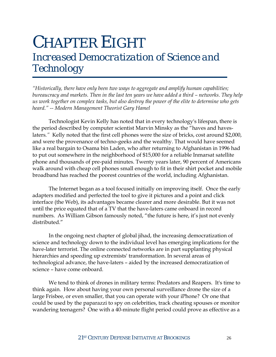### CHAPTER EIGHT *Increased Democratization of Science and Technology*

*"Historically, there have only been two ways to aggregate and amplify human capabilities; bureaucracy and markets. Then in the last ten years we have added a third – networks. They help us work together on complex tasks, but also destroy the power of the elite to determine who gets heard." -- Modern Management Theorist Gary Hamel*

Technologist Kevin Kelly has noted that in every technology's lifespan, there is the period described by computer scientist Marvin Minsky as the "haves and haveslaters*."* Kelly noted that the first cell phones were the size of bricks, cost around \$2,000, and were the provenance of techno-geeks and the wealthy. That would have seemed like a real bargain to Osama bin Laden, who after returning to Afghanistan in 1996 had to put out somewhere in the neighborhood of \$15,000 for a reliable Inmarsat satellite phone and thousands of pre-paid minutes. Twenty years later, 90 percent of Americans walk around with cheap cell phones small enough to fit in their shirt pocket and mobile broadband has reached the poorest countries of the world, including Afghanistan.

The Internet began as a tool focused initially on improving itself. Once the early adapters modified and perfected the tool to give it pictures and a point and click interface (the Web), its advantages became clearer and more desirable. But it was not until the price equated that of a TV that the have-laters came onboard in record numbers. As William Gibson famously noted, "the future is here, it's just not evenly distributed."

In the ongoing next chapter of global jihad, the increasing democratization of science and technology down to the individual level has emerging implications for the have-later terrorist. The online connected networks are in part supplanting physical hierarchies and speeding up extremists' transformation. In several areas of technological advance, the have-laters – aided by the increased democratization of science – have come onboard.

We tend to think of drones in military terms: Predators and Reapers. It's time to think again. How about having your own personal surveillance drone the size of a large Frisbee, or even smaller, that you can operate with your iPhone? Or one that could be used by the paparazzi to spy on celebrities, track cheating spouses or monitor wandering teenagers? One with a 40-minute flight period could prove as effective as a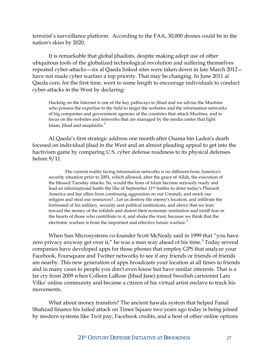terrorist's surveillance platform. According to the FAA, 30,000 drones could be in the nation's skies by 2020.

It is remarkable that global jihadists, despite making adept use of other ubiquitous tools of the globalized technological revolution and suffering themselves repeated cyber-attacks—six al Qaeda linked sites were taken down in late March 2012 have not made cyber warfare a top priority. That may be changing. In June 2011 al Qaeda core, for the first time, went to some length to encourage individuals to conduct cyber-attacks in the West by declaring:

Hacking on the Internet is one of the key pathways to Jihad and we advise the Muslims who possess the expertise in the field to target the websites and the information networks of big companies and government agencies of the countries that attack Muslims, and to focus on the websites and networks that are managed by the media center that fight Islam, Jihad and mujahidin. $1$ 

Al Qaeda's first strategic address one month after Osama bin Laden's death focused on individual jihad in the West and an almost pleading appeal to get into the hactivism game by comparing U.S. cyber defense readiness to its physical defenses before 9/11.

The current reality facing information networks is no different from America's security situation prior to 2001, which allowed, after the grace of Allah, the execution of the blessed Tuesday attacks. So, would the lions of Islam become seriously ready and lead an informational battle the like of September 11<sup>th</sup> battles to deter today's Pharaoh America and her allies from continuing aggression on our Ummah, and mock our religion and steal our resources?...Let us destroy the enemy's location, and infiltrate the fortressed of his military, security and political institutions, and above that we lean toward the money of the infidels and distort their economic institution and instill fear in the hearts of those who contribute to it, and shake the trust, because we think that the electronic warfare is from the important and effective future warfare. $2$ 

When Sun Microsystems co-founder Scott McNealy said in 1999 that "you have zero privacy anyway get over it," he was a man way ahead of his time. $3$  Today several companies have developed apps for those phones that employ GPS that analyze your Facebook, Foursquare and Twitter networks to see if any friends or friends of friends are nearby. This new generation of apps broadcasts your location at all times to friends and in many cases to people you don't even know but have similar interests. That is a far cry from 2009 when Colleen LaRose (Jihad Jane) joined Swedish cartoonist Lars Vilks' online community and became a citizen of his virtual artist enclave to track his movements.

What about money transfers? The ancient hawala system that helped Faisal Shahzad finance his failed attack on Times Square two years ago today is being joined by modern systems like Twit pay, Facebook credits, and a host of other online options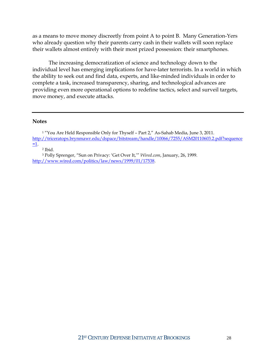as a means to move money discreetly from point A to point B. Many Generation-Yers who already question why their parents carry cash in their wallets will soon replace their wallets almost entirely with their most prized possession: their smartphones.

The increasing democratization of science and technology down to the individual level has emerging implications for have-later terrorists. In a world in which the ability to seek out and find data, experts, and like-minded individuals in order to complete a task, increased transparency, sharing, and technological advances are providing even more operational options to redefine tactics, select and surveil targets, move money, and execute attacks.

#### **Notes**

<sup>2</sup> Ibid.

<sup>3</sup> Polly Sprenger, "Sun on Privacy: 'Get Over It,'" *Wired.com*, January, 26, 1999. [http://www.wired.com/politics/law/news/1999/01/17538.](http://www.wired.com/politics/law/news/1999/01/17538)

<sup>&</sup>lt;sup>1</sup> "You Are Held Responsible Only for Thyself - Part 2," As-Sahab Media, June 3, 2011. [http://triceratops.brynmawr.edu/dspace/bitstream/handle/10066/7255/ASM20110603.2.pdf?sequence](http://triceratops.brynmawr.edu/dspace/bitstream/handle/10066/7255/ASM20110603.2.pdf?sequence=1)  $=1$ .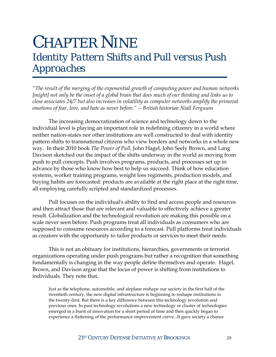### CHAPTER NINE *Identity Pattern Shifts and Pull versus Push Approaches*

*"The result of the merging of the exponential growth of computing power and human networks [might] not only be the onset of a global brain that does much of our thinking and links us to close associates 24/7 but also increases in volatility as computer networks amplify the primeval emotions of fear, love, and hate as never before." -- British historian Niall Ferguson*

The increasing democratization of science and technology down to the individual level is playing an important role in redefining citizenry in a world where neither nation-states nor other institutions are well constructed to deal with identity pattern shifts to transnational citizens who view borders and networks in a whole new way. In their 2010 book *The Power of Pull*, John Hagel, John Seely Brown, and Lang Davison sketched out the impact of the shifts underway in the world as moving from push to pull concepts. Push involves programs, products, and processes set up in advance by those who know how best to help us succeed. Think of how education systems, worker training programs, weight loss regiments, production models, and buying habits are forecasted: products are available at the right place at the right time, all employing carefully scripted and standardized processes.

Pull focuses on the individual's ability to find and access people and resources and then attract those that are relevant and valuable to effectively achieve a greater result. Globalization and the technological revolution are making this possible on a scale never seen before. Push programs treat all individuals as consumers who are supposed to consume resources according to a forecast. Pull platforms treat individuals as creators with the opportunity to tailor products or services to meet their needs.

This is not an obituary for institutions, hierarchies, governments or terrorist organizations operating under push programs but rather a recognition that something fundamentally is changing in the way people define themselves and operate. Hagel, Brown, and Davison argue that the locus of power is shifting from institutions to individuals. They note that,

Just as the telephone, automobile, and airplane reshape our society in the first half of the twentieth century, the new digital infrastructure is beginning to reshape institutions in the twenty-first. But there is a key difference between this technology revolution and previous ones. In past technology revolutions a new technology or cluster of technologies emerged in a burst of innovation for a short period of time and then quickly began to experience a flattening of the performance-improvement curve...It gave society a chance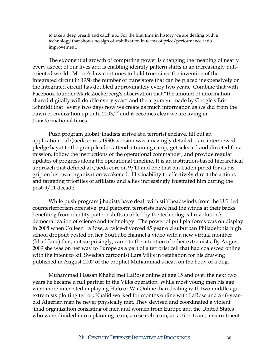to take a deep breath and catch up...For the first time in history we are dealing with a technology that shows no sign of stabilization in terms of price/performance ratio improvement.<sup>1</sup>

The exponential growth of computing power is changing the meaning of nearly every aspect of our lives and is enabling identity pattern shifts in an increasingly pulloriented world. Moore's law continues to hold true: since the invention of the integrated circuit in 1958 the number of transistors that can be placed inexpensively on the integrated circuit has doubled approximately every two years. Combine that with Facebook founder Mark Zuckerberg's observation that "the amount of information shared digitally will double every year" and the argument made by Google's Eric Schmidt that "every two days now we create as much information as we did from the dawn of civilization up until  $2003''$  and it becomes clear we are living in transformational times.

Push program global jihadists arrive at a terrorist enclave, fill out an application—al Qaeda core's 1990s version was amazingly detailed—are interviewed, pledge bayat to the group leader, attend a training camp, get selected and directed for a mission, follow the instructions of the operational commander, and provide regular updates of progress along the operational timeline. It is an institution-based hierarchical approach that defined al Qaeda core on 9/11 and one that bin Laden pined for as his grip on his own organization weakened. His inability to effectively direct the actions and targeting priorities of affiliates and allies increasingly frustrated him during the post-9/11 decade.

While push program jihadists have dealt with stiff headwinds from the U.S. led counterterrorism offensive, pull platform terrorists have had the winds at their backs, benefiting from identity pattern shifts enabled by the technological revolution's democratization of science and technology. The power of pull platforms was on display in 2008 when Colleen LaRose, a twice-divorced 45 year old suburban Philadelphia high school dropout posted on her YouTube channel a video with a new virtual moniker (Jihad Jane) that, not surprisingly, came to the attention of other extremists. By August 2009 she was on her way to Europe as a part of a terrorist cell that had coalesced online with the intent to kill Swedish cartoonist Lars Vilks in retaliation for his drawing published in August 2007 of the prophet Muhammad's head on the body of a dog.

Muhammad Hassan Khalid met LaRose online at age 15 and over the next two years he became a full partner in the Vilks operation. While most young men his age were more interested in playing Halo or Wii Online than dealing with two middle age extremists plotting terror, Khalid worked for months online with LaRose and a 46-yearold Algerian man he never physically met. They devised and coordinated a violent jihad organization consisting of men and women from Europe and the United States who were divided into a planning team, a research team, an action team, a recruitment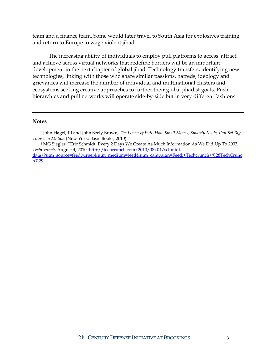team and a finance team. Some would later travel to South Asia for explosives training and return to Europe to wage violent jihad.

The increasing ability of individuals to employ pull platforms to access, attract, and achieve across virtual networks that redefine borders will be an important development in the next chapter of global jihad. Technology transfers, identifying new technologies, linking with those who share similar passions, hatreds, ideology and grievances will increase the number of individual and multinational clusters and ecosystems seeking creative approaches to further their global jihadist goals. Push hierarchies and pull networks will operate side-by-side but in very different fashions.

#### **Notes**

<sup>1</sup> John Hagel, III and John Seely Brown, *The Power of Pull: How Small Moves, Smartly Made, Can Set Big Things in Motion* (New York: Basic Books, 2010).

<sup>2</sup> MG Siegler, "Eric Schmidt: Every 2 Days We Create As Much Information As We Did Up To 2003," *TechCrunch*, August 4, 2010. [http://techcrunch.com/2010/08/04/schmidt](http://techcrunch.com/2010/08/04/schmidt-data/?utm_source=feedburner&utm_medium=feed&utm_campaign=Feed:+Techcrunch+%28TechCrunch%29)[data/?utm\\_source=feedburner&utm\\_medium=feed&utm\\_campaign=Feed:+Techcrunch+%28TechCrunc](http://techcrunch.com/2010/08/04/schmidt-data/?utm_source=feedburner&utm_medium=feed&utm_campaign=Feed:+Techcrunch+%28TechCrunch%29) [h%29.](http://techcrunch.com/2010/08/04/schmidt-data/?utm_source=feedburner&utm_medium=feed&utm_campaign=Feed:+Techcrunch+%28TechCrunch%29)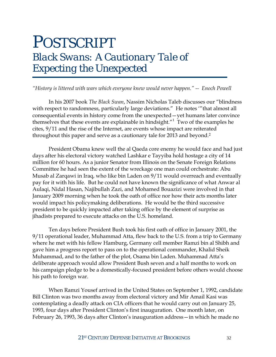### POSTSCRIPT *Black Swans: A Cautionary Tale of Expecting the Unexpected*

*"History is littered with wars which everyone knew would never happen." -- Enoch Powell*

In his 2007 book *The Black Swan*, Nassim Nicholas Taleb discusses our "blindness with respect to randomness, particularly large deviations." He notes "that almost all consequential events in history come from the unexpected—yet humans later convince themselves that these events are explainable in hindsight."<sup>1</sup> Two of the examples he cites, 9/11 and the rise of the Internet, are events whose impact are reiterated throughout this paper and serve as a cautionary tale for 2013 and beyond. 2

President Obama knew well the al Qaeda core enemy he would face and had just days after his electoral victory watched Lashkar e Tayyiba hold hostage a city of 14 million for 60 hours. As a junior Senator from Illinois on the Senate Foreign Relations Committee he had seen the extent of the wreckage one man could orchestrate: Abu Musab al Zarqawi in Iraq, who like bin Laden on 9/11 would overreach and eventually pay for it with his life. But he could not have known the significance of what Anwar al Aulaqi, Nidal Hasan, Najibullah Zazi, and Mohamed Bouazizi were involved in that January 2009 morning when he took the oath of office nor how their acts months later would impact his policymaking deliberations. He would be the third successive president to be quickly impacted after taking office by the element of surprise as jihadists prepared to execute attacks on the U.S. homeland.

Ten days before President Bush took his first oath of office in January 2001, the 9/11 operational leader, Muhammad Atta, flew back to the U.S. from a trip to Germany where he met with his fellow Hamburg, Germany cell member Ramzi bin al Shibh and gave him a progress report to pass on to the operational commander, Khalid Sheik Muhammad, and to the father of the plot, Osama bin Laden. Muhammad Atta's deliberate approach would allow President Bush seven and a half months to work on his campaign pledge to be a domestically-focused president before others would choose his path to foreign war.

When Ramzi Yousef arrived in the United States on September 1, 1992, candidate Bill Clinton was two months away from electoral victory and Mir Amail Kasi was contemplating a deadly attack on CIA officers that he would carry out on January 25, 1993, four days after President Clinton's first inauguration. One month later, on February 26, 1993, 36 days after Clinton's inauguration address—in which he made no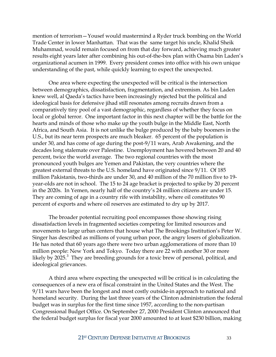mention of terrorism—Yousef would mastermind a Ryder truck bombing on the World Trade Center in lower Manhattan. That was the same target his uncle, Khalid Sheik Muhammad, would remain focused on from that day forward, achieving much greater results eight years later after combining his out-of-the-box plan with Osama bin Laden's organizational acumen in 1999. Every president comes into office with his own unique understanding of the past, while quickly learning to expect the unexpected.

One area where expecting the unexpected will be critical is the intersection between demographics, dissatisfaction, fragmentation, and extremism. As bin Laden knew well, al Qaeda's tactics have been increasingly rejected but the political and ideological basis for defensive jihad still resonates among recruits drawn from a comparatively tiny pool of a vast demographic, regardless of whether they focus on local or global terror. One important factor in this next chapter will be the battle for the hearts and minds of those who make up the youth bulge in the Middle East, North Africa, and South Asia. It is not unlike the bulge produced by the baby boomers in the U.S., but its near term prospects are much bleaker. 65 percent of the population is under 30, and has come of age during the post-9/11 wars, Arab Awakening, and the decades long stalemate over Palestine. Unemployment has hovered between 20 and 40 percent, twice the world average. The two regional countries with the most pronounced youth bulges are Yemen and Pakistan, the very countries where the greatest external threats to the U.S. homeland have originated since 9/11. Of 185 million Pakistanis, two-thirds are under 30, and 40 million of the 70 million five to 19 year-olds are not in school. The 15 to 24 age bracket is projected to spike by 20 percent in the 2020s. In Yemen, nearly half of the country's 24 million citizens are under 15. They are coming of age in a country rife with instability, where oil constitutes 90 percent of exports and where oil reserves are estimated to dry up by 2017.

The broader potential recruiting pool encompasses those showing rising dissatisfaction levels in fragmented societies competing for limited resources and movements to large urban centers that house what The Brookings Institution's Peter W. Singer has described as millions of young urban poor, the angry losers of globalization. He has noted that 60 years ago there were two urban agglomerations of more than 10 million people: New York and Tokyo. Today there are 22 with another 30 or more likely by 2025. $3$  They are breeding grounds for a toxic brew of personal, political, and ideological grievances.

A third area where expecting the unexpected will be critical is in calculating the consequences of a new era of fiscal constraint in the United States and the West. The 9/11 wars have been the longest and most costly outside-in approach to national and homeland security. During the last three years of the Clinton administration the federal budget was in surplus for the first time since 1957, according to the non-partisan Congressional Budget Office. On September 27, 2000 President Clinton announced that the federal budget surplus for fiscal year 2000 amounted to at least \$230 billion, making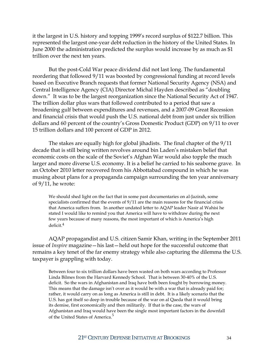it the largest in U.S. history and topping 1999's record surplus of \$122.7 billion. This represented the largest one-year debt reduction in the history of the United States. In June 2000 the administration predicted the surplus would increase by as much as \$1 trillion over the next ten years.

But the post-Cold War peace dividend did not last long. The fundamental reordering that followed 9/11 was boosted by congressional funding at record levels based on Executive Branch requests that former National Security Agency (NSA) and Central Intelligence Agency (CIA) Director Michal Hayden described as "doubling down." It was to be the largest reorganization since the National Security Act of 1947. The trillion dollar plus wars that followed contributed to a period that saw a broadening gulf between expenditures and revenues, and a 2007-09 Great Recession and financial crisis that would push the U.S. national debt from just under six trillion dollars and 60 percent of the country's Gross Domestic Product (GDP) on 9/11 to over 15 trillion dollars and 100 percent of GDP in 2012.

The stakes are equally high for global jihadists. The final chapter of the 9/11 decade that is still being written revolves around bin Laden's mistaken belief that economic costs on the scale of the Soviet's Afghan War would also topple the much larger and more diverse U.S. economy. It is a belief he carried to his seaborne grave. In an October 2010 letter recovered from his Abbottabad compound in which he was musing about plans for a propaganda campaign surrounding the ten year anniversary of 9/11, he wrote:

We should shed light on the fact that in some past documentaries on al-Jazirah, some specialists confirmed that the events of 9/11 are the main reasons for the financial crisis that America suffers from. In another undated letter to AQAP leader Nasir al Wahisi he stated I would like to remind you that America will have to withdraw during the next few years because of many reasons, the most important of which is America's high deficit.<sup>4</sup>

AQAP propagandist and U.S. citizen Samir Khan, writing in the September 2011 issue of *Inspire* magazine—his last—held out hope for the successful outcome that remains a key tenet of the far enemy strategy while also capturing the dilemma the U.S. taxpayer is grappling with today.

Between four to six trillion dollars have been wasted on both wars according to Professor Linda Bilmes from the Harvard Kennedy School. That is between 30-40% of the U.S. deficit. So the wars in Afghanistan and Iraq have both been fought by borrowing money. This means that the damage isn't over as it would be with a war that is already paid for; rather, it would carry on as long as America is still in debt. It is a likely scenario that the U.S. has got itself so deep in trouble because of the war on al Qaeda that it would bring its demise, first economically and then militarily. If that is the case, the wars of Afghanistan and Iraq would have been the single most important factors in the downfall of the United States of America.<sup>5</sup>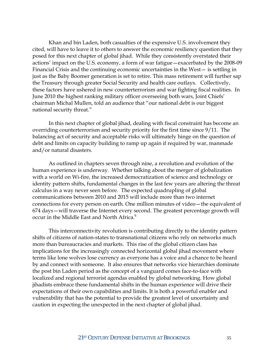Khan and bin Laden, both casualties of the expensive U.S. involvement they cited, will have to leave it to others to answer the economic resiliency question that they posed for this next chapter of global jihad. While they consistently overstated their actions' impact on the U.S. economy, a form of war fatigue—exacerbated by the 2008-09 Financial Crisis and the continuing economic uncertainties in the West— is settling in just as the Baby Boomer generation is set to retire. This mass retirement will further sap the Treasury through greater Social Security and health care outlays. Collectively, these factors have ushered in new counterterrorism and war fighting fiscal realities. In June 2010 the highest ranking military officer overseeing both wars, Joint Chiefs' chairman Michal Mullen, told an audience that "our national debt is our biggest national security threat."

In this next chapter of global jihad, dealing with fiscal constraint has become an overriding counterterrorism and security priority for the first time since 9/11. The balancing act of security and acceptable risks will ultimately hinge on the question of debt and limits on capacity building to ramp up again if required by war, manmade and/or natural disasters.

As outlined in chapters seven through nine, a revolution and evolution of the human experience is underway. Whether talking about the merger of globalization with a world on Wi-fire, the increased democratization of science and technology or identity pattern shifts, fundamental changes in the last few years are altering the threat calculus in a way never seen before. The expected quadrupling of global communications between 2010 and 2015 will include more than two internet connections for every person on earth. One million minutes of video—the equivalent of 674 days—will traverse the Internet every second. The greatest percentage growth will occur in the Middle East and North Africa.<sup>6</sup>

This interconnectivity revolution is contributing directly to the identity pattern shifts of citizens of nation-states to transnational citizens who rely on networks much more than bureaucracies and markets. This rise of the global citizen class has implications for the increasingly connected horizontal global jihad movement where terms like lone wolves lose currency as everyone has a voice and a chance to be heard by and connect with someone. It also ensures that networks vice hierarchies dominate the post bin Laden period as the concept of a vanguard comes face-to-face with localized and regional terrorist agendas enabled by global networking. How global jihadists embrace these fundamental shifts in the human experience will drive their expectations of their own capabilities and limits. It is both a powerful enabler and vulnerability that has the potential to provide the greatest level of uncertainty and caution in expecting the unexpected in the next chapter of global jihad.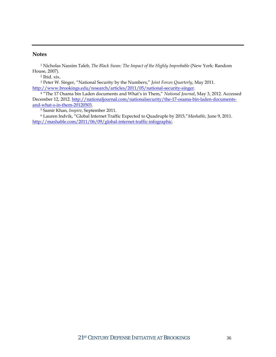#### **Notes**

<sup>1</sup> Nicholas Nassim Taleb, *The Black Swan: The Impact of the Highly Improbable* (New York: Random House, 2007).

<sup>2</sup> Ibid. xix.

<sup>3</sup> Peter W. Singer, "National Security by the Numbers," *Joint Forces Quarterly*, May 2011. [http://www.brookings.edu/research/articles/2011/05/national-security-singer.](http://www.brookings.edu/research/articles/2011/05/national-security-singer)

<sup>4</sup> "The 17 Osama bin Laden documents and What's in Them," *National Journal*, May 3, 2012. Accessed December 12, 2012. [http://nationaljournal.com/nationalsecurity/the-17-osama-bin-laden-documents](http://nationaljournal.com/nationalsecurity/the-17-osama-bin-laden-documents-and-what-s-in-them-20120503)[and-what-s-in-them-20120503.](http://nationaljournal.com/nationalsecurity/the-17-osama-bin-laden-documents-and-what-s-in-them-20120503)

<sup>5</sup> Samir Khan, *Inspire*, September 2011.

<sup>6</sup> Lauren Indvik, "Global Internet Traffic Expected to Quadruple by 2015*,*"*Mashable*, June 9, 2011. [http://mashable.com/2011/06/09/global-internet-traffic-infographic.](http://mashable.com/2011/06/09/global-internet-traffic-infographic)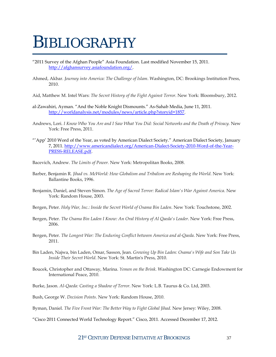## BIBLIOGRAPHY

- "2011 Survey of the Afghan People" Asia Foundation. Last modified November 15, 2011. [http://afghansurvey.asiafoundation.org/.](http://afghansurvey.asiafoundation.org/)
- Ahmed, Akbar. *Journey into America: The Challenge of Islam*. Washington, DC: Brookings Institution Press, 2010.
- Aid, Matthew M. Intel Wars: *The Secret History of the Fight Against Terror*. New York: Bloomsbury, 2012.
- al-Zawahiri, Ayman. "And the Noble Knight Dismounts." As-Sahab Media, June 11, 2011. [http://worldanalysis.net/modules/news/article.php?storyid=1857.](http://worldanalysis.net/modules/news/article.php?storyid=1857)
- Andrews, Lori. *I Know Who You Are and I Saw What You Did: Social Networks and the Death of Privacy.* New York: Free Press, 2011.
- "'App' 2010 Word of the Year, as voted by American Dialect Society." American Dialect Society, January 7, 2011. [http://www.americandialect.org/American-Dialect-Society-2010-Word-of-the-Year-](http://www.americandialect.org/American-Dialect-Society-2010-Word-of-the-Year-PRESS-RELEASE.pdf)[PRESS-RELEASE.pdf.](http://www.americandialect.org/American-Dialect-Society-2010-Word-of-the-Year-PRESS-RELEASE.pdf)
- Bacevich, Andrew. *The Limits of Power.* New York: Metropolitan Books, 2008.
- Barber, Benjamin R. *Jihad vs. McWorld: How Globalism and Tribalism are Reshaping the World*. New York: Ballantine Books, 1996.
- Benjamin, Daniel, and Steven Simon. *The Age of Sacred Terror: Radical Islam's War Against America*. New York: Random House, 2003.
- Bergen, Peter. *Holy War, Inc.: Inside the Secret World of Osama Bin Laden*. New York: Touchstone, 2002.
- Bergen, Peter. *The Osama Bin Laden I Know: An Oral History of Al Qaeda's Leader*. New York: Free Press, 2006.
- Bergen, Peter. *The Longest War: The Enduring Conflict between America and al-Qaeda*. New York: Free Press, 2011.
- Bin Laden, Najwa, bin Laden, Omar, Sasson, Jean. *Growing Up Bin Laden: Osama's Wife and Son Take Us Inside Their Secret World*. New York: St. Martin's Press, 2010.
- Boucek, Christopher and Ottaway, Marina. *Yemen on the Brink.* Washington DC: Carnegie Endowment for International Peace, 2010.
- Burke, Jason. *Al-Qaeda: Casting a Shadow of Terror*. New York: L.B. Taurus & Co. Ltd, 2003.
- Bush, George W. *Decision Points*. New York: Random House, 2010.
- Byman, Daniel. *The Five Front War: The Better Way to Fight Global Jihad*. New Jersey: Wiley, 2008.
- "Cisco 2011 Connected World Technology Report." Cisco, 2011. Accessed December 17, 2012.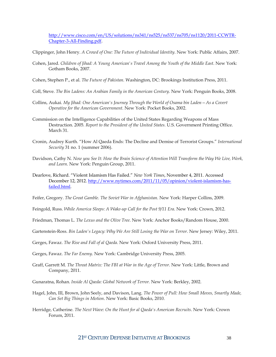[http://www.cisco.com/en/US/solutions/ns341/ns525/ns537/ns705/ns1120/2011-CCWTR-](http://www.cisco.com/en/US/solutions/ns341/ns525/ns537/ns705/ns1120/2011-CCWTR-Chapter-3-All-Finding.pdf)[Chapter-3-All-Finding.pdf.](http://www.cisco.com/en/US/solutions/ns341/ns525/ns537/ns705/ns1120/2011-CCWTR-Chapter-3-All-Finding.pdf)

Clippinger, John Henry. *A Crowd of One: The Future of Individual Identity*. New York: Public Affairs, 2007.

- Cohen, Jared. *Children of Jihad: A Young American's Travel Among the Youth of the Middle East*. New York: Gotham Books, 2007.
- Cohen, Stephen P., et al. *The Future of Pakistan.* Washington, DC: Brookings Institution Press, 2011.
- Coll, Steve. *The Bin Ladens: An Arabian Family in the American Century*. New York: Penguin Books, 2008.
- Collins, Aukai. *My Jihad: One American's Journey Through the World of Osama bin Laden—As a Covert Operative for the American Government*. New York: Pocket Books, 2002.
- Commission on the Intelligence Capabilities of the United States Regarding Weapons of Mass Destruction. 2005*. Report to the President of the United States*. U.S. Government Printing Office. March 31.
- Cronin, Audrey Kurth. "How Al Qaeda Ends: The Decline and Demise of Terrorist Groups." *International Security* 31 no. 1 (summer 2006).
- Davidson, Cathy N. *Now you See It: How the Brain Science of Attention Will Transform the Way We Live, Work, and Learn*. New York: Penguin Group, 2011.
- Dearlove, Richard. "Violent Islamism Has Failed." *New York Times*, November 4, 2011. Accessed December 12, 2012. [http://www.nytimes.com/2011/11/05/opinion/violent-islamism-has](http://www.nytimes.com/2011/11/05/opinion/violent-islamism-has-failed.html)[failed.html.](http://www.nytimes.com/2011/11/05/opinion/violent-islamism-has-failed.html)

Feifer, Gregory. *The Great Gamble. The Soviet War in Afghanistan*. New York: Harper Collins, 2009.

Feingold, Russ. *While America Sleeps: A Wake-up Call for the Post 9/11 Era*. New York: Crown, 2012.

Friedman, Thomas L. *The Lexus and the Olive Tree*. New York: Anchor Books/Random House, 2000.

Gartenstein-Ross. *Bin Laden's Legacy: Why We Are Still Losing the War on Terror*. New Jersey: Wiley, 2011.

Gerges, Fawaz. *The Rise and Fall of al Qaeda*. New York: Oxford University Press, 2011.

Gerges, Fawaz. *The Far Enemy*. New York: Cambridge University Press, 2005.

Graff, Garrett M. *The Threat Matrix: The FBI at War in the Age of Terror*. New York: Little, Brown and Company, 2011.

Gunaratna, Rohan. *Inside Al Qaeda: Global Network of Terror.* New York: Berkley, 2002.

- Hagel, John, III, Brown, John Seely, and Davison, Lang. *The Power of Pull: How Small Moves, Smartly Made, Can Set Big Things in Motion*. New York: Basic Books, 2010.
- Herridge, Catherine. *The Next Wave: On the Hunt for al Qaeda's American Recruits*. New York: Crown Forum, 2011.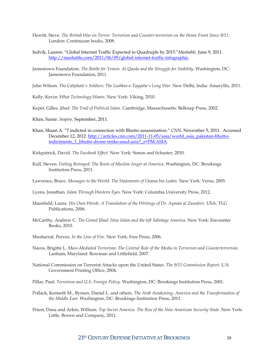- Hewitt, Steve. *The British War on Terror: Terrorism and Counter-terrorism on the Home Front Since 9/11*. London: Continuum books, 2008.
- Indvik, Lauren. "Global Internet Traffic Expected to Quadruple by 2015*.*"*Mashable*. June 9, 2011. [http://mashable.com/2011/06/09/global-internet-traffic-infographic.](http://mashable.com/2011/06/09/global-internet-traffic-infographic)
- Jamestown Foundation. *The Battle for Yemen. Al Qaeda and the Struggle for Stability*. Washington, DC: Jamestown Foundation, 2011.
- John Wilson. *The Caliphate's Soldiers: The Lashkar-e-Tayyeba's Long War*. New Delhi, India: Amaryllis, 2011.
- Kelly, Kevin. *What Technology Wants*. New York: Viking, 2010.
- Kepel, Gilles. *Jihad: The Trail of Political Islam*. Cambridge, Massachusetts: Belknap Press, 2002.
- Khan, Samir. *Inspire*. September, 2011.
- Khan, Shaan A. "7 indicted in connection with Bhutto assassination." *CNN*, November 5, 2011. Accessed December 12, 2012. [http://articles.cnn.com/2011-11-05/asia/world\\_asia\\_pakistan-bhutto](http://articles.cnn.com/2011-11-05/asia/world_asia_pakistan-bhutto-indictments_1_bhutto-drone-strike-saud-aziz?_s=PM:ASIA)[indictments\\_1\\_bhutto-drone-strike-saud-aziz?\\_s=PM:ASIA.](http://articles.cnn.com/2011-11-05/asia/world_asia_pakistan-bhutto-indictments_1_bhutto-drone-strike-saud-aziz?_s=PM:ASIA)
- Kirkpatrick, David. *The Facebook Effect.* New York: Simon and Schuster, 2010.
- Kull, Steven. *Feeling Betrayed: The Roots of Muslim Anger at America*. Washington, DC: Brookings Institution Press, 2011.
- Lawrence, Bruce. *Messages to the World: The Statements of Osama bin Laden.* New York: Verso, 2005.
- Lyons, Jonathan. *Islam Through Western Eyes*. New York: Columbia University Press, 2012.
- Mansfield, Laura. *His Own Words. A Translation of the Writings of Dr. Ayman al Zawahiri.* USA: TLG Publications, 2006.
- McCarthy, Andrew C. *The Grand Jihad: How Islam and the left Sabotage America.* New York: Encounter Books, 2010.
- Musharraf, Pervez. *In the Line of Fire.* New York: Free Press, 2006.
- Nacos, Brigitte L. *Mass-Mediated Terrorism: The Central Role of the Media in Terrorism and Counterterrorism*. Lanham, Maryland: Rowman and Littlefield, 2007.
- National Commission on Terrorist Attacks upon the United States. *The 9/11 Commission Report.* U.S. Government Printing Office, 2004.
- Pillar, Paul. *Terrorism and U.S. Foreign Policy*. Washington, DC: Brookings Institution Press, 2001.
- Pollack, Kenneth M., Byman, Daniel L. and others. *The Arab Awakening: America and the Transformation of the Middle East*. Washington, DC: Brookings Institution Press, 2011.
- Priest, Dana and Arkin, William. *Top Secret America. The Rise of the New American Security State*. New York: Little, Brown and Company, 2011.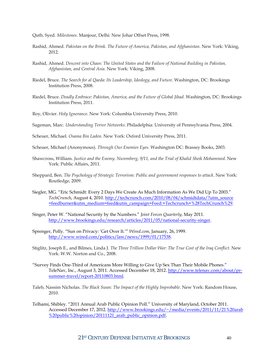- Qutb, Syed*. Milestones*. Manjour, Delhi: New Johar Offset Press, 1998.
- Rashid, Ahmed. *Pakistan on the Brink. The Future of America, Pakistan, and Afghanistan*. New York: Viking, 2012.
- Rashid, Ahmed. *Descent into Chaos: The United States and the Failure of National Building in Pakistan, Afghanistan, and Central Asia.* New York: Viking, 2008.
- Riedel, Bruce. *The Search for al Qaeda: Its Leadership, Ideology, and Future*. Washington, DC: Brookings Institution Press, 2008.
- Riedel, Bruce. *Deadly Embrace: Pakistan, America, and the Future of Global Jihad.* Washington, DC: Brookings Institution Press, 2011.
- Roy, Olivier. *Holy Ignorance*. New York: Columbia University Press, 2010.
- Sageman, Marc. *Understanding Terror Networks*. Philadelphia: University of Pennsylvania Press, 2004.
- Scheuer, Michael. *Osama Bin Laden*. New York: Oxford University Press, 2011.
- Scheuer, Michael (Anonymous). *Through Our Enemies Eyes.* Washington DC: Brassey Books, 2003.
- Shawcross, William. *Justice and the Enemy. Nuremberg, 9/11, and the Trial of Khalid Sheik Mohammed.* New York: Public Affairs, 2011.
- Sheppard, Ben. *The Psychology of Strategic Terrorism: Public and government responses to attack*. New York: Routledge, 2009.
- Siegler, MG. "Eric Schmidt: Every 2 Days We Create As Much Information As We Did Up To 2003." *TechCrunch*, August 4, 2010. [http://techcrunch.com/2010/08/04/schmidtdata/?utm\\_source](http://techcrunch.com/2010/08/04/schmidtdata/?utm_source%20=feedburner&utm_medium=feed&utm_campaign=Feed:+Techcrunch+%28TechCrunch%29)  [=feedburner&utm\\_medium=feed&utm\\_campaign=Feed:+Techcrunch+%28TechCrunch%29.](http://techcrunch.com/2010/08/04/schmidtdata/?utm_source%20=feedburner&utm_medium=feed&utm_campaign=Feed:+Techcrunch+%28TechCrunch%29)
- Singer, Peter W. "National Security by the Numbers." *Joint Forces Quarterly*, May 2011. [http://www.brookings.edu/research/articles/2011/05/national-security-singer.](http://www.brookings.edu/research/articles/2011/05/national-security-singer)
- Sprenger, Polly. "Sun on Privacy: 'Get Over It.'" *Wired.com*, January, 26, 1999. [http://www.wired.com/politics/law/news/1999/01/17538.](http://www.wired.com/politics/law/news/1999/01/17538)
- Stiglitz, Joseph E., and Bilmes, Linda J. *The Three Trillion Dollar War: The True Cost of the Iraq Conflict*. New York: W.W. Norton and Co., 2008.
- "Survey Finds One-Third of Americans More Willing to Give Up Sex Than Their Mobile Phones." TeleNav, Inc., August 3, 2011. Accessed December 18, 2012. [http://www.telenav.com/about/pr](http://www.telenav.com/about/pr-summer-travel/report-20110803.html)[summer-travel/report-20110803.html.](http://www.telenav.com/about/pr-summer-travel/report-20110803.html)
- Taleb, Nassim Nicholas. *The Black Swan: The Impact of the Highly Improbable*. New York: Random House, 2010.
- Telhami, Shibley. "2011 Annual Arab Public Opinion Poll." University of Maryland, October 2011. Accessed December 17, 2012[. http://www.brookings.edu/~/media/events/2011/11/21%20arab](http://www.brookings.edu/~/media/events/2011/11/21%20arab%20%20public%20opinion/20111121_arab_public_opinion.pdf)  [%20public%20opinion/20111121\\_arab\\_public\\_opinion.pdf.](http://www.brookings.edu/~/media/events/2011/11/21%20arab%20%20public%20opinion/20111121_arab_public_opinion.pdf)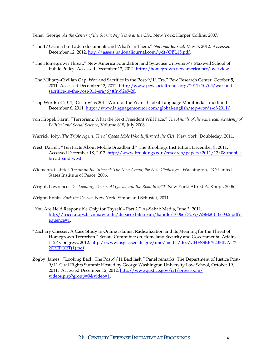Tenet, George. *At the Center of the Storm: My Years at the CIA*. New York: Harper Collins, 2007.

- "The 17 Osama bin Laden documents and What's in Them." *National Journal*, May 3, 2012. Accessed December 12, 2012. [http://assets.nationaljournal.com/pdf/OBL15.pdf.](http://assets.nationaljournal.com/pdf/OBL15.pdf)
- "The Homegrown Threat." New America Foundation and Syracuse University's Maxwell School of Public Policy. Accessed December 12, 2012. [http://homegrown.newamerica.net/overview.](http://homegrown.newamerica.net/overview)
- "The Military-Civilian Gap: War and Sacrifice in the Post-9/11 Era." Pew Research Center, October 5, 2011. Accessed December 12, 2012[. http://www.pewsocialtrends.org/2011/10/05/war-and](http://www.pewsocialtrends.org/2011/10/05/war-and-sacrifice-in-the-post-911-era/6/#fn-9249-20)[sacrifice-in-the-post-911-era/6/#fn-9249-20.](http://www.pewsocialtrends.org/2011/10/05/war-and-sacrifice-in-the-post-911-era/6/#fn-9249-20)
- "Top Words of 2011, 'Occupy' is 2011 Word of the Year." Global Language Monitor, last modified December 6, 2011[. http://www.languagemonitor.com/global-english/top-words-of-2011/.](http://www.languagemonitor.com/global-english/top-words-of-2011/)
- von Hippel, Karin. "Terrorism: What the Next President Will Face." *The Annals of the American Academy of Political and Social Science*, Volume 618, July 2008.
- Warrick, Joby. *The Triple Agent: The al Qaeda Mole Who Infiltrated the CIA*. New York: Doubleday, 2011.
- West, Darrell. "Ten Facts About Mobile Broadband." The Brookings Institution, December 8, 2011. Accessed December 18, 2012[. http://www.brookings.edu/research/papers/2011/12/08-mobile](http://www.brookings.edu/research/papers/2011/12/08-mobile-broadband-west)[broadband-west.](http://www.brookings.edu/research/papers/2011/12/08-mobile-broadband-west)
- Wiemann, Gabriel. *Terror on the Internet: The New Arena, the New Challenges*. Washington, DC: United States Institute of Peace, 2006.
- Wright, Lawrence. *The Looming Tower: Al Qaeda and the Road to 9/11*. New York: Alfred A. Knopf, 2006.
- Wright, Robin. *Rock the Casbah.* New York: Simon and Schuster, 2011
- "You Are Held Responsible Only for Thyself Part 2." As-Sahab Media, June 3, 2011. [http://triceratops.brynmawr.edu/dspace/bitstream/handle/10066/7255/ASM20110603.2.pdf?s](http://triceratops.brynmawr.edu/dspace/bitstream/handle/10066/7255/ASM20110603.2.pdf?sequence=1) [equence=1.](http://triceratops.brynmawr.edu/dspace/bitstream/handle/10066/7255/ASM20110603.2.pdf?sequence=1)
- "Zachary Chesser: A Case Study in Online Islamist Radicalization and its Meaning for the Threat of Homegrown Terrorism." Senate Committee on Homeland Security and Governmental Affairs, 112th Congress, 2012[. http://www.hsgac.senate.gov/imo/media/doc/CHESSER%20FINAL%](http://www.hsgac.senate.gov/imo/media/doc/CHESSER%20FINAL%25%2020REPORT(1).pdf)  [20REPORT\(1\).pdf.](http://www.hsgac.senate.gov/imo/media/doc/CHESSER%20FINAL%25%2020REPORT(1).pdf)
- Zogby, James. "Looking Back: The Post-9/11 Backlash." Panel remarks, The Department of Justice Post-9/11 Civil Rights Summit Hosted by George Washington University Law School, October 19, 2011. Accessed December 12, 2012. [http://www.justice.gov/crt/pressroom/](http://www.justice.gov/crt/pressroom/%20videos.php?group=0&video=1)  [videos.php?group=0&video=1.](http://www.justice.gov/crt/pressroom/%20videos.php?group=0&video=1)